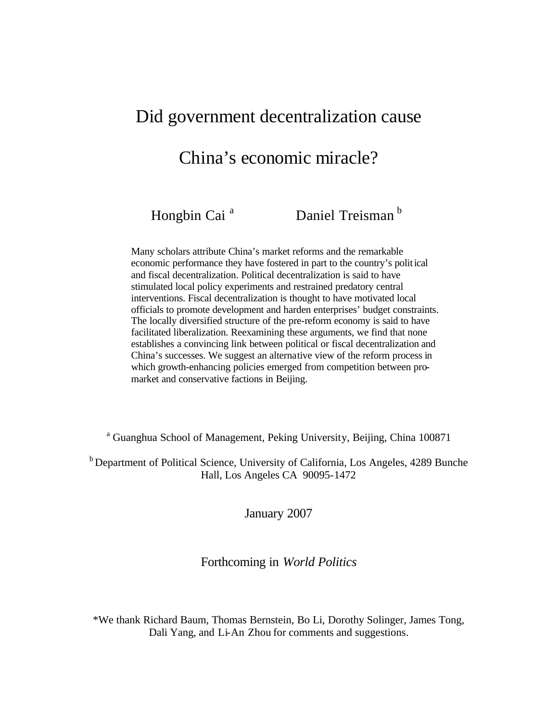## Did government decentralization cause

# China's economic miracle?

Hongbin Cai<sup>a</sup> Daniel Treisman<sup>b</sup>

Many scholars attribute China's market reforms and the remarkable economic performance they have fostered in part to the country's political and fiscal decentralization. Political decentralization is said to have stimulated local policy experiments and restrained predatory central interventions. Fiscal decentralization is thought to have motivated local officials to promote development and harden enterprises' budget constraints. The locally diversified structure of the pre-reform economy is said to have facilitated liberalization. Reexamining these arguments, we find that none establishes a convincing link between political or fiscal decentralization and China's successes. We suggest an alternative view of the reform process in which growth-enhancing policies emerged from competition between promarket and conservative factions in Beijing.

<sup>a</sup> Guanghua School of Management, Peking University, Beijing, China 100871

<sup>b</sup> Department of Political Science, University of California, Los Angeles, 4289 Bunche Hall, Los Angeles CA 90095-1472

January 2007

Forthcoming in *World Politics*

\*We thank Richard Baum, Thomas Bernstein, Bo Li, Dorothy Solinger, James Tong, Dali Yang, and Li-An Zhou for comments and suggestions.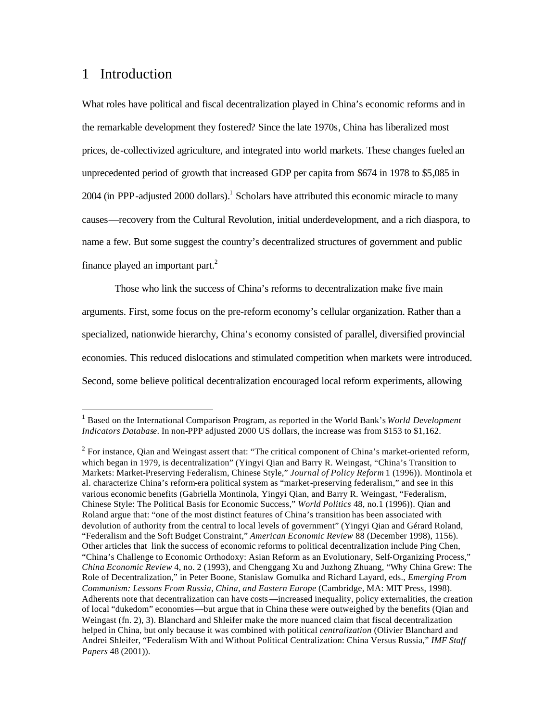### 1 Introduction

 $\overline{a}$ 

What roles have political and fiscal decentralization played in China's economic reforms and in the remarkable development they fostered? Since the late 1970s, China has liberalized most prices, de-collectivized agriculture, and integrated into world markets. These changes fueled an unprecedented period of growth that increased GDP per capita from \$674 in 1978 to \$5,085 in  $2004$  (in PPP-adjusted  $2000$  dollars).<sup>1</sup> Scholars have attributed this economic miracle to many causes—recovery from the Cultural Revolution, initial underdevelopment, and a rich diaspora, to name a few. But some suggest the country's decentralized structures of government and public finance played an important part. $^{2}$ 

Those who link the success of China's reforms to decentralization make five main arguments. First, some focus on the pre-reform economy's cellular organization. Rather than a specialized, nationwide hierarchy, China's economy consisted of parallel, diversified provincial economies. This reduced dislocations and stimulated competition when markets were introduced. Second, some believe political decentralization encouraged local reform experiments, allowing

<sup>&</sup>lt;sup>1</sup> Based on the International Comparison Program, as reported in the World Bank's *World Development Indicators Database*. In non-PPP adjusted 2000 US dollars, the increase was from \$153 to \$1,162.

 $2^{2}$  For instance, Qian and Weingast assert that: "The critical component of China's market-oriented reform, which began in 1979, is decentralization" (Yingyi Qian and Barry R. Weingast, "China's Transition to Markets: Market-Preserving Federalism, Chinese Style," *Journal of Policy Reform* 1 (1996)). Montinola et al. characterize China's reform-era political system as "market-preserving federalism," and see in this various economic benefits (Gabriella Montinola, Yingyi Qian, and Barry R. Weingast, "Federalism, Chinese Style: The Political Basis for Economic Success," *World Politics* 48, no.1 (1996)). Qian and Roland argue that: "one of the most distinct features of China's transition has been associated with devolution of authority from the central to local levels of government" (Yingyi Qian and Gérard Roland, "Federalism and the Soft Budget Constraint," *American Economic Review* 88 (December 1998), 1156). Other articles that link the success of economic reforms to political decentralization include Ping Chen, "China's Challenge to Economic Orthodoxy: Asian Reform as an Evolutionary, Self-Organizing Process," *China Economic Review* 4, no. 2 (1993), and Chenggang Xu and Juzhong Zhuang, "Why China Grew: The Role of Decentralization," in Peter Boone, Stanislaw Gomulka and Richard Layard, eds., *Emerging From Communism: Lessons From Russia, China, and Eastern Europe* (Cambridge, MA: MIT Press, 1998). Adherents note that decentralization can have costs—increased inequality, policy externalities, the creation of local "dukedom" economies—but argue that in China these were outweighed by the benefits (Qian and Weingast (fn. 2), 3). Blanchard and Shleifer make the more nuanced claim that fiscal decentralization helped in China, but only because it was combined with political *centralization* (Olivier Blanchard and Andrei Shleifer, "Federalism With and Without Political Centralization: China Versus Russia," *IMF Staff Papers* 48 (2001)).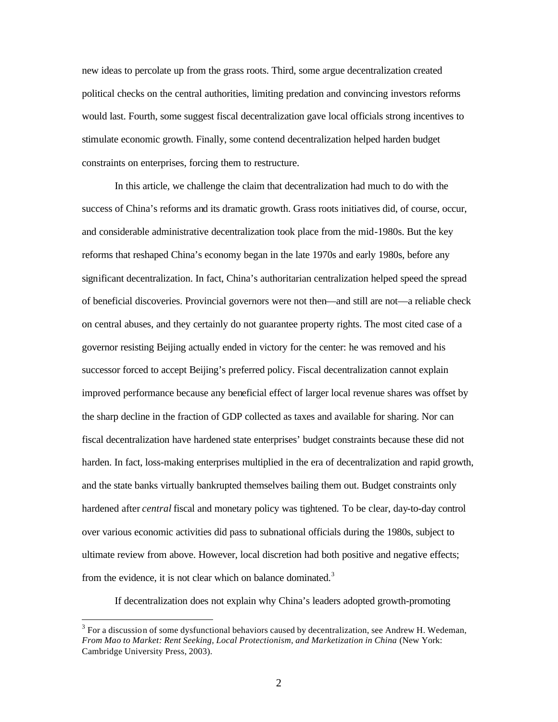new ideas to percolate up from the grass roots. Third, some argue decentralization created political checks on the central authorities, limiting predation and convincing investors reforms would last. Fourth, some suggest fiscal decentralization gave local officials strong incentives to stimulate economic growth. Finally, some contend decentralization helped harden budget constraints on enterprises, forcing them to restructure.

In this article, we challenge the claim that decentralization had much to do with the success of China's reforms and its dramatic growth. Grass roots initiatives did, of course, occur, and considerable administrative decentralization took place from the mid-1980s. But the key reforms that reshaped China's economy began in the late 1970s and early 1980s, before any significant decentralization. In fact, China's authoritarian centralization helped speed the spread of beneficial discoveries. Provincial governors were not then—and still are not—a reliable check on central abuses, and they certainly do not guarantee property rights. The most cited case of a governor resisting Beijing actually ended in victory for the center: he was removed and his successor forced to accept Beijing's preferred policy. Fiscal decentralization cannot explain improved performance because any beneficial effect of larger local revenue shares was offset by the sharp decline in the fraction of GDP collected as taxes and available for sharing. Nor can fiscal decentralization have hardened state enterprises' budget constraints because these did not harden. In fact, loss-making enterprises multiplied in the era of decentralization and rapid growth, and the state banks virtually bankrupted themselves bailing them out. Budget constraints only hardened after *central* fiscal and monetary policy was tightened. To be clear, day-to-day control over various economic activities did pass to subnational officials during the 1980s, subject to ultimate review from above. However, local discretion had both positive and negative effects; from the evidence, it is not clear which on balance dominated.<sup>3</sup>

If decentralization does not explain why China's leaders adopted growth-promoting

 $3$  For a discussion of some dysfunctional behaviors caused by decentralization, see Andrew H. Wedeman, *From Mao to Market: Rent Seeking, Local Protectionism, and Marketization in China* (New York: Cambridge University Press, 2003).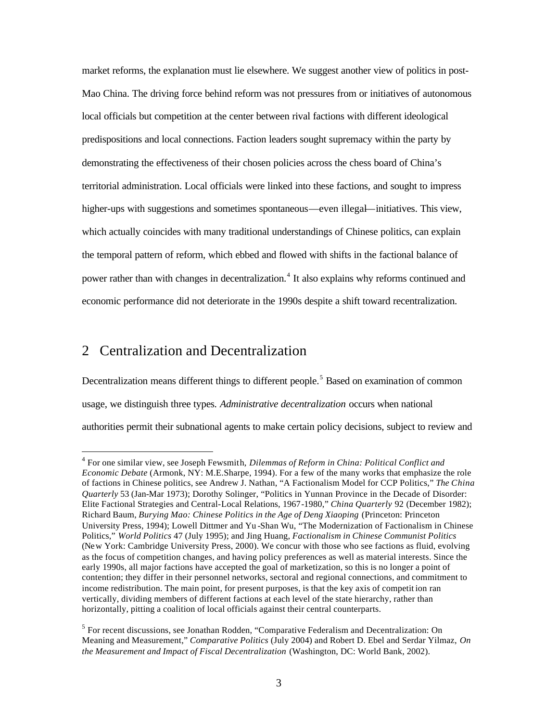market reforms, the explanation must lie elsewhere. We suggest another view of politics in post-Mao China. The driving force behind reform was not pressures from or initiatives of autonomous local officials but competition at the center between rival factions with different ideological predispositions and local connections. Faction leaders sought supremacy within the party by demonstrating the effectiveness of their chosen policies across the chess board of China's territorial administration. Local officials were linked into these factions, and sought to impress higher-ups with suggestions and sometimes spontaneous—even illegal—initiatives. This view, which actually coincides with many traditional understandings of Chinese politics, can explain the temporal pattern of reform, which ebbed and flowed with shifts in the factional balance of power rather than with changes in decentralization.<sup>4</sup> It also explains why reforms continued and economic performance did not deteriorate in the 1990s despite a shift toward recentralization.

### 2 Centralization and Decentralization

 $\overline{a}$ 

Decentralization means different things to different people.<sup>5</sup> Based on examination of common usage, we distinguish three types*. Administrative decentralization* occurs when national authorities permit their subnational agents to make certain policy decisions, subject to review and

<sup>4</sup> For one similar view, see Joseph Fewsmith, *Dilemmas of Reform in China: Political Conflict and Economic Debate* (Armonk, NY: M.E.Sharpe, 1994). For a few of the many works that emphasize the role of factions in Chinese politics, see Andrew J. Nathan, "A Factionalism Model for CCP Politics," *The China Quarterly* 53 (Jan-Mar 1973); Dorothy Solinger, "Politics in Yunnan Province in the Decade of Disorder: Elite Factional Strategies and Central-Local Relations, 1967-1980," *China Quarterly* 92 (December 1982); Richard Baum, *Burying Mao: Chinese Politics in the Age of Deng Xiaoping* (Princeton: Princeton University Press, 1994); Lowell Dittmer and Yu -Shan Wu, "The Modernization of Factionalism in Chinese Politics," *World Politics* 47 (July 1995); and Jing Huang, *Factionalism in Chinese Communist Politics* (New York: Cambridge University Press, 2000). We concur with those who see factions as fluid, evolving as the focus of competition changes, and having policy preferences as well as material interests. Since the early 1990s, all major factions have accepted the goal of marketization, so this is no longer a point of contention; they differ in their personnel networks, sectoral and regional connections, and commitment to income redistribution. The main point, for present purposes, is that the key axis of competit ion ran vertically, dividing members of different factions at each level of the state hierarchy, rather than horizontally, pitting a coalition of local officials against their central counterparts.

<sup>&</sup>lt;sup>5</sup> For recent discussions, see Jonathan Rodden, "Comparative Federalism and Decentralization: On Meaning and Measurement," *Comparative Politics* (July 2004) and Robert D. Ebel and Serdar Yilmaz, *On the Measurement and Impact of Fiscal Decentralization* (Washington, DC: World Bank, 2002).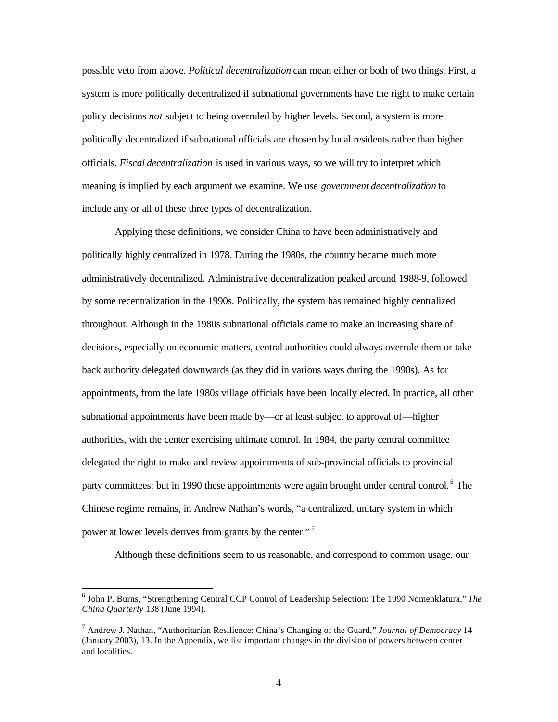possible veto from above. *Political decentralization* can mean either or both of two things. First, a system is more politically decentralized if subnational governments have the right to make certain policy decisions *not* subject to being overruled by higher levels. Second, a system is more politically decentralized if subnational officials are chosen by local residents rather than higher officials. *Fiscal decentralization* is used in various ways, so we will try to interpret which meaning is implied by each argument we examine. We use *government decentralization* to include any or all of these three types of decentralization.

Applying these definitions, we consider China to have been administratively and politically highly centralized in 1978. During the 1980s, the country became much more administratively decentralized. Administrative decentralization peaked around 1988-9, followed by some recentralization in the 1990s. Politically, the system has remained highly centralized throughout. Although in the 1980s subnational officials came to make an increasing share of decisions, especially on economic matters, central authorities could always overrule them or take back authority delegated downwards (as they did in various ways during the 1990s). As for appointments, from the late 1980s village officials have been locally elected. In practice, all other subnational appointments have been made by—or at least subject to approval of—higher authorities, with the center exercising ultimate control. In 1984, the party central committee delegated the right to make and review appointments of sub-provincial officials to provincial party committees; but in 1990 these appointments were again brought under central control.<sup>6</sup> The Chinese regime remains, in Andrew Nathan's words, "a centralized, unitary system in which power at lower levels derives from grants by the center."<sup>7</sup>

Although these definitions seem to us reasonable, and correspond to common usage, our

<sup>6</sup> John P. Burns, "Strengthening Central CCP Control of Leadership Selection: The 1990 Nomenklatura," *The China Quarterly* 138 (June 1994).

<sup>7</sup> Andrew J. Nathan, "Authoritarian Resilience: China's Changing of the Guard," *Journal of Democracy* 14 (January 2003), 13. In the Appendix, we list important changes in the division of powers between center and localities.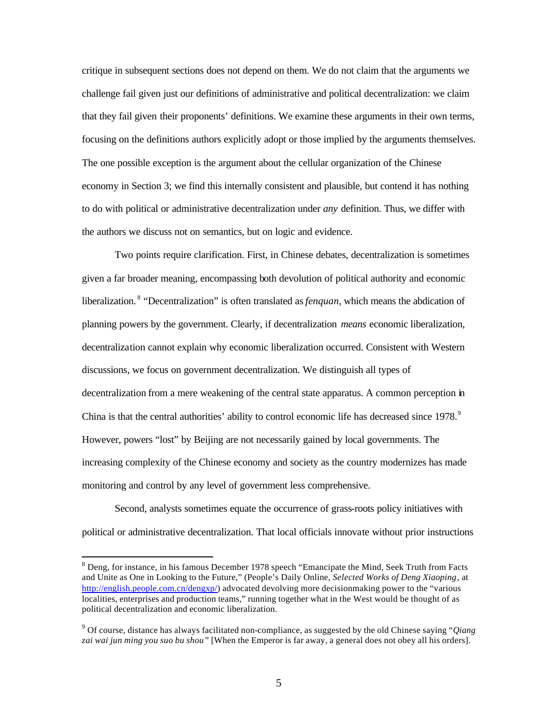critique in subsequent sections does not depend on them. We do not claim that the arguments we challenge fail given just our definitions of administrative and political decentralization: we claim that they fail given their proponents' definitions. We examine these arguments in their own terms, focusing on the definitions authors explicitly adopt or those implied by the arguments themselves. The one possible exception is the argument about the cellular organization of the Chinese economy in Section 3; we find this internally consistent and plausible, but contend it has nothing to do with political or administrative decentralization under *any* definition. Thus, we differ with the authors we discuss not on semantics, but on logic and evidence.

Two points require clarification. First, in Chinese debates, decentralization is sometimes given a far broader meaning, encompassing both devolution of political authority and economic liberalization.<sup>8</sup> "Decentralization" is often translated as *fenquan*, which means the abdication of planning powers by the government. Clearly, if decentralization *means* economic liberalization, decentralization cannot explain why economic liberalization occurred. Consistent with Western discussions, we focus on government decentralization. We distinguish all types of decentralization from a mere weakening of the central state apparatus. A common perception in China is that the central authorities' ability to control economic life has decreased since 1978.<sup>9</sup> However, powers "lost" by Beijing are not necessarily gained by local governments. The increasing complexity of the Chinese economy and society as the country modernizes has made monitoring and control by any level of government less comprehensive.

Second, analysts sometimes equate the occurrence of grass-roots policy initiatives with political or administrative decentralization. That local officials innovate without prior instructions

<sup>&</sup>lt;sup>8</sup> Deng, for instance, in his famous December 1978 speech "Emancipate the Mind, Seek Truth from Facts and Unite as One in Looking to the Future," (People's Daily Online, *Selected Works of Deng Xiaoping*, at http://english.people.com.cn/dengxp/) advocated devolving more decisionmaking power to the "various localities, enterprises and production teams," running together what in the West would be thought of as political decentralization and economic liberalization.

<sup>9</sup> Of course, distance has always facilitated non-compliance, as suggested by the old Chinese saying "*Qiang zai wai jun ming you suo bu shou"* [When the Emperor is far away, a general does not obey all his orders].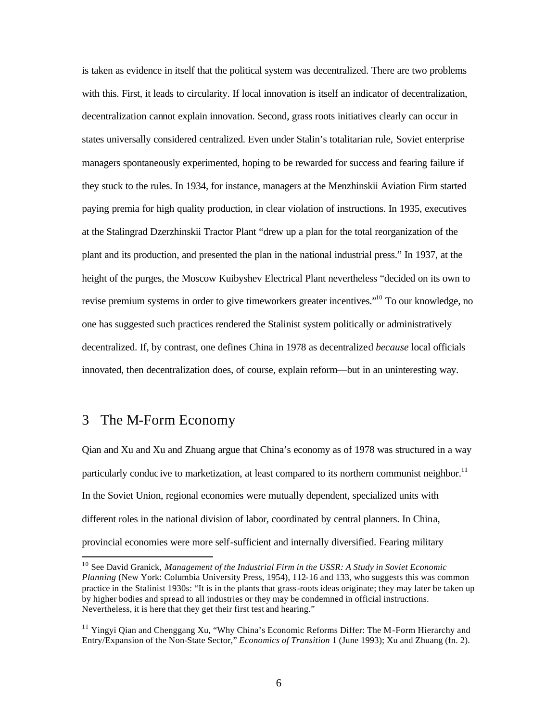is taken as evidence in itself that the political system was decentralized. There are two problems with this. First, it leads to circularity. If local innovation is itself an indicator of decentralization, decentralization cannot explain innovation. Second, grass roots initiatives clearly can occur in states universally considered centralized. Even under Stalin's totalitarian rule, Soviet enterprise managers spontaneously experimented, hoping to be rewarded for success and fearing failure if they stuck to the rules. In 1934, for instance, managers at the Menzhinskii Aviation Firm started paying premia for high quality production, in clear violation of instructions. In 1935, executives at the Stalingrad Dzerzhinskii Tractor Plant "drew up a plan for the total reorganization of the plant and its production, and presented the plan in the national industrial press." In 1937, at the height of the purges, the Moscow Kuibyshev Electrical Plant nevertheless "decided on its own to revise premium systems in order to give timeworkers greater incentives."<sup>10</sup> To our knowledge, no one has suggested such practices rendered the Stalinist system politically or administratively decentralized. If, by contrast, one defines China in 1978 as decentralized *because* local officials innovated, then decentralization does, of course, explain reform—but in an uninteresting way.

#### 3 The M-Form Economy

 $\overline{a}$ 

Qian and Xu and Xu and Zhuang argue that China's economy as of 1978 was structured in a way particularly conduc ive to marketization, at least compared to its northern communist neighbor.<sup>11</sup> In the Soviet Union, regional economies were mutually dependent, specialized units with different roles in the national division of labor, coordinated by central planners. In China, provincial economies were more self-sufficient and internally diversified. Fearing military

<sup>10</sup> See David Granick, *Management of the Industrial Firm in the USSR: A Study in Soviet Economic Planning* (New York: Columbia University Press, 1954), 112-16 and 133, who suggests this was common practice in the Stalinist 1930s: "It is in the plants that grass-roots ideas originate; they may later be taken up by higher bodies and spread to all industries or they may be condemned in official instructions. Nevertheless, it is here that they get their first test and hearing."

<sup>&</sup>lt;sup>11</sup> Yingyi Qian and Chenggang Xu, "Why China's Economic Reforms Differ: The M-Form Hierarchy and Entry/Expansion of the Non-State Sector," *Economics of Transition* 1 (June 1993); Xu and Zhuang (fn. 2).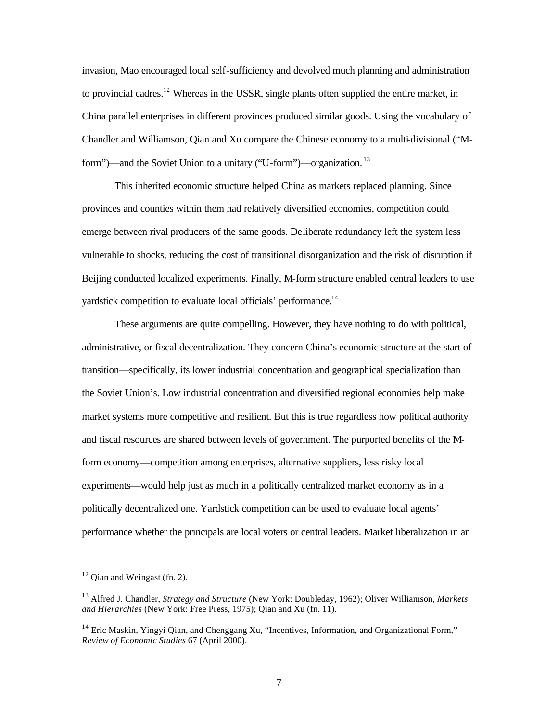invasion, Mao encouraged local self-sufficiency and devolved much planning and administration to provincial cadres.<sup>12</sup> Whereas in the USSR, single plants often supplied the entire market, in China parallel enterprises in different provinces produced similar goods. Using the vocabulary of Chandler and Williamson, Qian and Xu compare the Chinese economy to a multi-divisional ("Mform")—and the Soviet Union to a unitary ("U-form")—organization.<sup>13</sup>

This inherited economic structure helped China as markets replaced planning. Since provinces and counties within them had relatively diversified economies, competition could emerge between rival producers of the same goods. Deliberate redundancy left the system less vulnerable to shocks, reducing the cost of transitional disorganization and the risk of disruption if Beijing conducted localized experiments. Finally, M-form structure enabled central leaders to use yardstick competition to evaluate local officials' performance.<sup>14</sup>

These arguments are quite compelling. However, they have nothing to do with political, administrative, or fiscal decentralization. They concern China's economic structure at the start of transition—specifically, its lower industrial concentration and geographical specialization than the Soviet Union's. Low industrial concentration and diversified regional economies help make market systems more competitive and resilient. But this is true regardless how political authority and fiscal resources are shared between levels of government. The purported benefits of the Mform economy—competition among enterprises, alternative suppliers, less risky local experiments—would help just as much in a politically centralized market economy as in a politically decentralized one. Yardstick competition can be used to evaluate local agents' performance whether the principals are local voters or central leaders. Market liberalization in an

 $12$  Qian and Weingast (fn. 2).

<sup>13</sup> Alfred J. Chandler, *Strategy and Structure* (New York: Doubleday, 1962); Oliver Williamson, *Markets and Hierarchies* (New York: Free Press, 1975); Qian and Xu (fn. 11).

 $14$  Eric Maskin, Yingyi Qian, and Chenggang Xu, "Incentives, Information, and Organizational Form," *Review of Economic Studies* 67 (April 2000).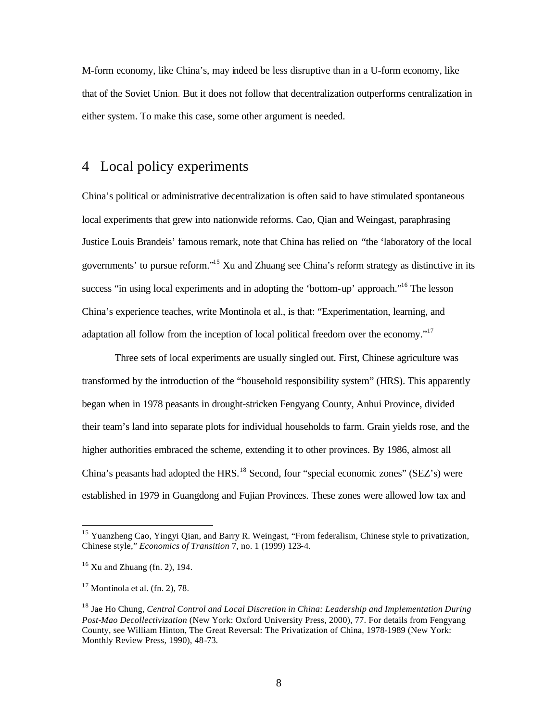M-form economy, like China's, may indeed be less disruptive than in a U-form economy, like that of the Soviet Union. But it does not follow that decentralization outperforms centralization in either system. To make this case, some other argument is needed.

## 4 Local policy experiments

China's political or administrative decentralization is often said to have stimulated spontaneous local experiments that grew into nationwide reforms. Cao, Qian and Weingast, paraphrasing Justice Louis Brandeis' famous remark, note that China has relied on "the 'laboratory of the local governments' to pursue reform."<sup>15</sup> Xu and Zhuang see China's reform strategy as distinctive in its success "in using local experiments and in adopting the 'bottom-up' approach."<sup>16</sup> The lesson China's experience teaches, write Montinola et al., is that: "Experimentation, learning, and adaptation all follow from the inception of local political freedom over the economy."<sup>17</sup>

Three sets of local experiments are usually singled out. First, Chinese agriculture was transformed by the introduction of the "household responsibility system" (HRS). This apparently began when in 1978 peasants in drought-stricken Fengyang County, Anhui Province, divided their team's land into separate plots for individual households to farm. Grain yields rose, and the higher authorities embraced the scheme, extending it to other provinces. By 1986, almost all China's peasants had adopted the HRS.<sup>18</sup> Second, four "special economic zones" (SEZ's) were established in 1979 in Guangdong and Fujian Provinces. These zones were allowed low tax and

<sup>&</sup>lt;sup>15</sup> Yuanzheng Cao, Yingyi Qian, and Barry R. Weingast, "From federalism, Chinese style to privatization, Chinese style," *Economics of Transition* 7, no. 1 (1999) 123-4.

 $16$  Xu and Zhuang (fn. 2), 194.

 $17$  Montinola et al. (fn. 2), 78.

<sup>18</sup> Jae Ho Chung, *Central Control and Local Discretion in China: Leadership and Implementation During Post-Mao Decollectivization* (New York: Oxford University Press, 2000), 77. For details from Fengyang County, see William Hinton, The Great Reversal: The Privatization of China, 1978-1989 (New York: Monthly Review Press, 1990), 48-73.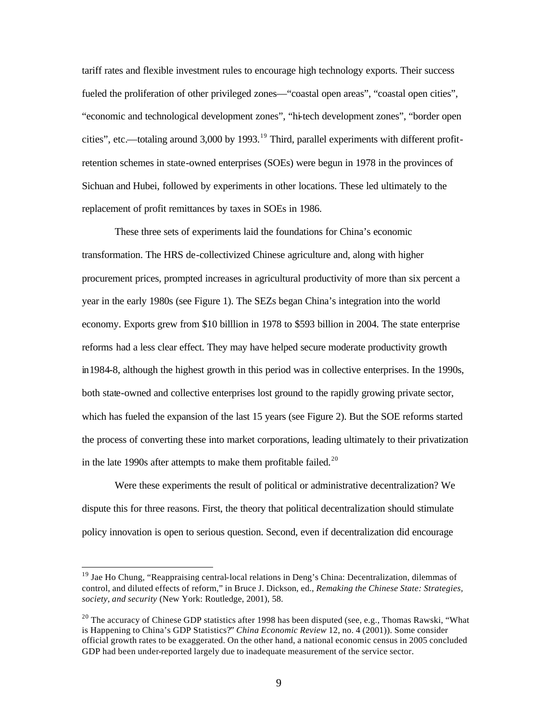tariff rates and flexible investment rules to encourage high technology exports. Their success fueled the proliferation of other privileged zones—"coastal open areas", "coastal open cities", "economic and technological development zones", "hi-tech development zones", "border open cities", etc.—totaling around 3,000 by 1993.<sup>19</sup> Third, parallel experiments with different profitretention schemes in state-owned enterprises (SOEs) were begun in 1978 in the provinces of Sichuan and Hubei, followed by experiments in other locations. These led ultimately to the replacement of profit remittances by taxes in SOEs in 1986.

These three sets of experiments laid the foundations for China's economic transformation. The HRS de-collectivized Chinese agriculture and, along with higher procurement prices, prompted increases in agricultural productivity of more than six percent a year in the early 1980s (see Figure 1). The SEZs began China's integration into the world economy. Exports grew from \$10 billlion in 1978 to \$593 billion in 2004. The state enterprise reforms had a less clear effect. They may have helped secure moderate productivity growth in1984-8, although the highest growth in this period was in collective enterprises. In the 1990s, both state-owned and collective enterprises lost ground to the rapidly growing private sector, which has fueled the expansion of the last 15 years (see Figure 2). But the SOE reforms started the process of converting these into market corporations, leading ultimately to their privatization in the late 1990s after attempts to make them profitable failed.<sup>20</sup>

Were these experiments the result of political or administrative decentralization? We dispute this for three reasons. First, the theory that political decentralization should stimulate policy innovation is open to serious question. Second, even if decentralization did encourage

<sup>&</sup>lt;sup>19</sup> Jae Ho Chung, "Reappraising central-local relations in Deng's China: Decentralization, dilemmas of control, and diluted effects of reform," in Bruce J. Dickson, ed., *Remaking the Chinese State: Strategies, society, and security* (New York: Routledge, 2001), 58.

<sup>&</sup>lt;sup>20</sup> The accuracy of Chinese GDP statistics after 1998 has been disputed (see, e.g., Thomas Rawski, "What is Happening to China's GDP Statistics?" *China Economic Review* 12, no. 4 (2001)). Some consider official growth rates to be exaggerated. On the other hand, a national economic census in 2005 concluded GDP had been under-reported largely due to inadequate measurement of the service sector.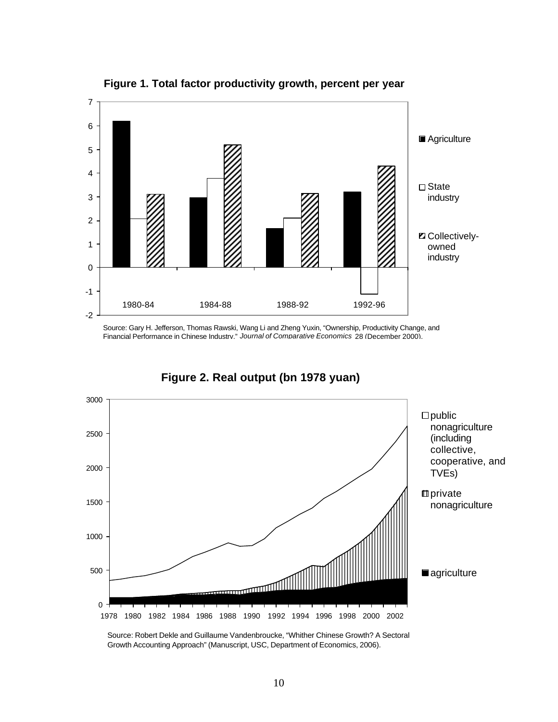

**Figure 1. Total factor productivity growth, percent per year**

Source: Gary H. Jefferson, Thomas Rawski, Wang Li and Zheng Yuxin, "Ownership, Productivity Change, and Financial Performance in Chinese Industry," *Journal of Comparative Economics* 28 (December 2000).

**Figure 2. Real output (bn 1978 yuan)**



Source: Robert Dekle and Guillaume Vandenbroucke, "Whither Chinese Growth? A Sectoral Growth Accounting Approach" (Manuscript, USC, Department of Economics, 2006).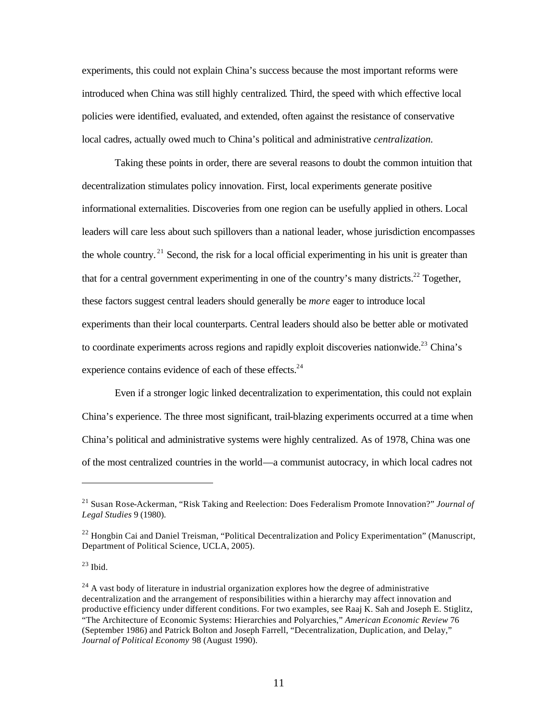experiments, this could not explain China's success because the most important reforms were introduced when China was still highly centralized. Third, the speed with which effective local policies were identified, evaluated, and extended, often against the resistance of conservative local cadres, actually owed much to China's political and administrative *centralization.*

Taking these points in order, there are several reasons to doubt the common intuition that decentralization stimulates policy innovation. First, local experiments generate positive informational externalities. Discoveries from one region can be usefully applied in others. Local leaders will care less about such spillovers than a national leader, whose jurisdiction encompasses the whole country.<sup>21</sup> Second, the risk for a local official experimenting in his unit is greater than that for a central government experimenting in one of the country's many districts.<sup>22</sup> Together, these factors suggest central leaders should generally be *more* eager to introduce local experiments than their local counterparts. Central leaders should also be better able or motivated to coordinate experiments across regions and rapidly exploit discoveries nationwide.<sup>23</sup> China's experience contains evidence of each of these effects.<sup>24</sup>

Even if a stronger logic linked decentralization to experimentation, this could not explain China's experience. The three most significant, trail-blazing experiments occurred at a time when China's political and administrative systems were highly centralized. As of 1978, China was one of the most centralized countries in the world—a communist autocracy, in which local cadres not

 $23$  Ibid.

<sup>21</sup> Susan Rose-Ackerman, "Risk Taking and Reelection: Does Federalism Promote Innovation?" *Journal of Legal Studies* 9 (1980).

 $^{22}$  Hongbin Cai and Daniel Treisman, "Political Decentralization and Policy Experimentation" (Manuscript, Department of Political Science, UCLA, 2005).

 $^{24}$  A vast body of literature in industrial organization explores how the degree of administrative decentralization and the arrangement of responsibilities within a hierarchy may affect innovation and productive efficiency under different conditions. For two examples, see Raaj K. Sah and Joseph E. Stiglitz, "The Architecture of Economic Systems: Hierarchies and Polyarchies," *American Economic Review* 76 (September 1986) and Patrick Bolton and Joseph Farrell, "Decentralization, Duplication, and Delay," *Journal of Political Economy* 98 (August 1990).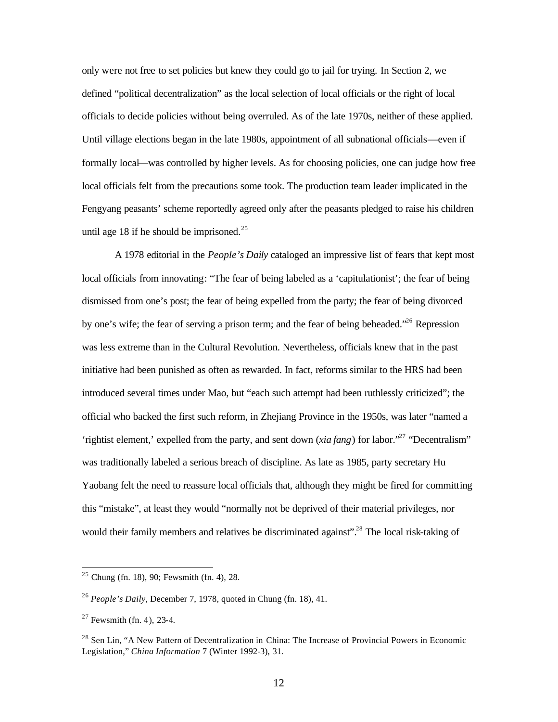only were not free to set policies but knew they could go to jail for trying. In Section 2, we defined "political decentralization" as the local selection of local officials or the right of local officials to decide policies without being overruled. As of the late 1970s, neither of these applied. Until village elections began in the late 1980s, appointment of all subnational officials—even if formally local—was controlled by higher levels. As for choosing policies, one can judge how free local officials felt from the precautions some took. The production team leader implicated in the Fengyang peasants' scheme reportedly agreed only after the peasants pledged to raise his children until age 18 if he should be imprisoned. $25$ 

A 1978 editorial in the *People's Daily* cataloged an impressive list of fears that kept most local officials from innovating: "The fear of being labeled as a 'capitulationist'; the fear of being dismissed from one's post; the fear of being expelled from the party; the fear of being divorced by one's wife; the fear of serving a prison term; and the fear of being beheaded.<sup>226</sup> Repression was less extreme than in the Cultural Revolution. Nevertheless, officials knew that in the past initiative had been punished as often as rewarded. In fact, reforms similar to the HRS had been introduced several times under Mao, but "each such attempt had been ruthlessly criticized"; the official who backed the first such reform, in Zhejiang Province in the 1950s, was later "named a 'rightist element,' expelled from the party, and sent down (*xia fang*) for labor.<sup>27</sup> "Decentralism" was traditionally labeled a serious breach of discipline. As late as 1985, party secretary Hu Yaobang felt the need to reassure local officials that, although they might be fired for committing this "mistake", at least they would "normally not be deprived of their material privileges, nor would their family members and relatives be discriminated against".<sup>28</sup> The local risk-taking of

 $25$  Chung (fn. 18), 90; Fewsmith (fn. 4), 28.

<sup>26</sup> *People's Daily*, December 7, 1978, quoted in Chung (fn. 18), 41.

 $27$  Fewsmith (fn. 4), 23-4.

<sup>&</sup>lt;sup>28</sup> Sen Lin, "A New Pattern of Decentralization in China: The Increase of Provincial Powers in Economic Legislation," *China Information* 7 (Winter 1992-3), 31.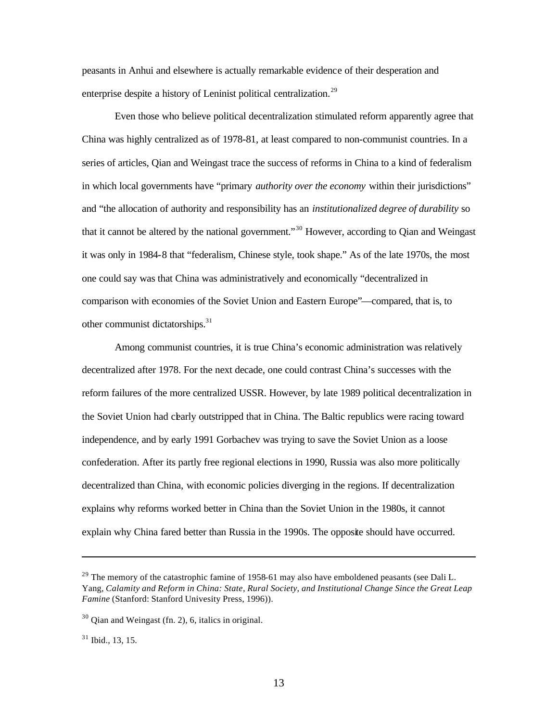peasants in Anhui and elsewhere is actually remarkable evidence of their desperation and enterprise despite a history of Leninist political centralization.<sup>29</sup>

Even those who believe political decentralization stimulated reform apparently agree that China was highly centralized as of 1978-81, at least compared to non-communist countries. In a series of articles, Qian and Weingast trace the success of reforms in China to a kind of federalism in which local governments have "primary *authority over the economy* within their jurisdictions" and "the allocation of authority and responsibility has an *institutionalized degree of durability* so that it cannot be altered by the national government."<sup>30</sup> However, according to Qian and Weingast it was only in 1984-8 that "federalism, Chinese style, took shape." As of the late 1970s, the most one could say was that China was administratively and economically "decentralized in comparison with economies of the Soviet Union and Eastern Europe"—compared, that is, to other communist dictatorships.<sup>31</sup>

Among communist countries, it is true China's economic administration was relatively decentralized after 1978. For the next decade, one could contrast China's successes with the reform failures of the more centralized USSR. However, by late 1989 political decentralization in the Soviet Union had clearly outstripped that in China. The Baltic republics were racing toward independence, and by early 1991 Gorbachev was trying to save the Soviet Union as a loose confederation. After its partly free regional elections in 1990, Russia was also more politically decentralized than China, with economic policies diverging in the regions. If decentralization explains why reforms worked better in China than the Soviet Union in the 1980s, it cannot explain why China fared better than Russia in the 1990s. The opposite should have occurred.

 $31$  Ibid., 13, 15.

 $^{29}$  The memory of the catastrophic famine of 1958-61 may also have emboldened peasants (see Dali L. Yang, *Calamity and Reform in China: State, Rural Society, and Institutional Change Since the Great Leap Famine* (Stanford: Stanford Univesity Press, 1996)).

<sup>30</sup> Qian and Weingast (fn. 2), 6, italics in original.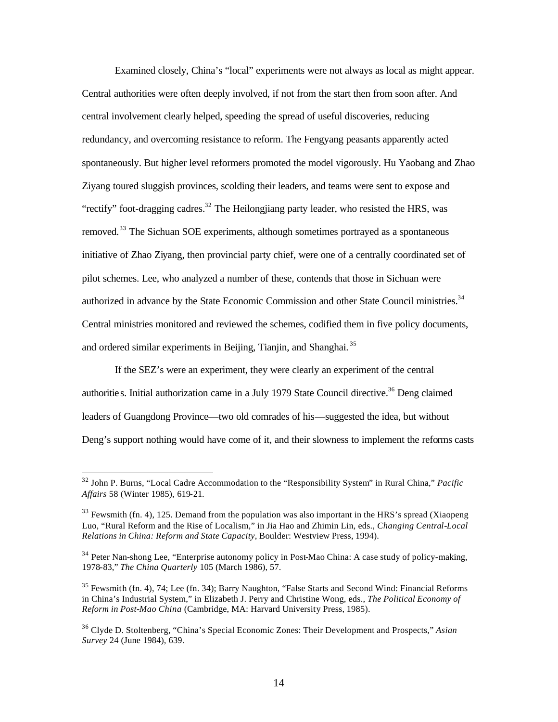Examined closely, China's "local" experiments were not always as local as might appear. Central authorities were often deeply involved, if not from the start then from soon after. And central involvement clearly helped, speeding the spread of useful discoveries, reducing redundancy, and overcoming resistance to reform. The Fengyang peasants apparently acted spontaneously. But higher level reformers promoted the model vigorously. Hu Yaobang and Zhao Ziyang toured sluggish provinces, scolding their leaders, and teams were sent to expose and "rectify" foot-dragging cadres.<sup>32</sup> The Heilongjiang party leader, who resisted the HRS, was removed.<sup>33</sup> The Sichuan SOE experiments, although sometimes portrayed as a spontaneous initiative of Zhao Ziyang, then provincial party chief, were one of a centrally coordinated set of pilot schemes. Lee, who analyzed a number of these, contends that those in Sichuan were authorized in advance by the State Economic Commission and other State Council ministries.<sup>34</sup> Central ministries monitored and reviewed the schemes, codified them in five policy documents, and ordered similar experiments in Beijing, Tianjin, and Shanghai. <sup>35</sup>

If the SEZ's were an experiment, they were clearly an experiment of the central authorities. Initial authorization came in a July 1979 State Council directive.<sup>36</sup> Deng claimed leaders of Guangdong Province—two old comrades of his—suggested the idea, but without Deng's support nothing would have come of it, and their slowness to implement the reforms casts

<sup>32</sup> John P. Burns, "Local Cadre Accommodation to the "Responsibility System" in Rural China," *Pacific Affairs* 58 (Winter 1985), 619-21.

 $33$  Fewsmith (fn. 4), 125. Demand from the population was also important in the HRS's spread (Xiaopeng) Luo, "Rural Reform and the Rise of Localism," in Jia Hao and Zhimin Lin, eds., *Changing Central-Local Relations in China: Reform and State Capacity*, Boulder: Westview Press, 1994).

<sup>&</sup>lt;sup>34</sup> Peter Nan-shong Lee, "Enterprise autonomy policy in Post-Mao China: A case study of policy-making, 1978-83," *The China Quarterly* 105 (March 1986), 57.

 $35$  Fewsmith (fn. 4), 74; Lee (fn. 34); Barry Naughton, "False Starts and Second Wind: Financial Reforms in China's Industrial System," in Elizabeth J. Perry and Christine Wong, eds., *The Political Economy of Reform in Post-Mao China* (Cambridge, MA: Harvard University Press, 1985).

<sup>36</sup> Clyde D. Stoltenberg, "China's Special Economic Zones: Their Development and Prospects," *Asian Survey* 24 (June 1984), 639.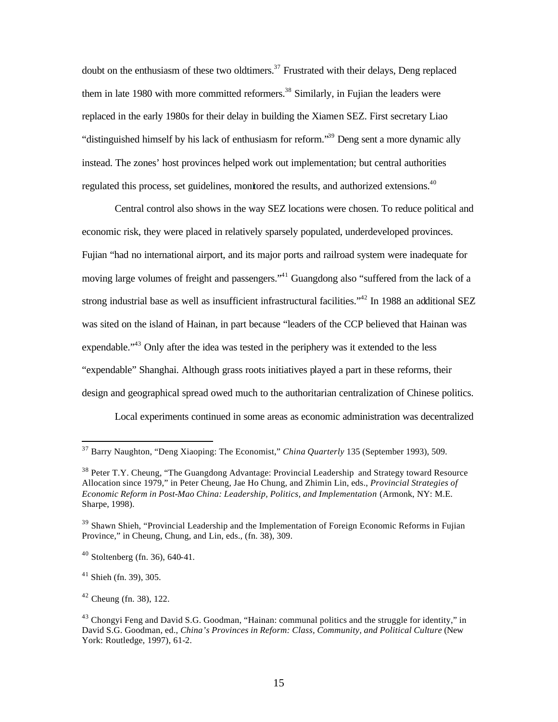doubt on the enthusiasm of these two oldtimers.<sup>37</sup> Frustrated with their delays, Deng replaced them in late 1980 with more committed reformers.<sup>38</sup> Similarly, in Fujian the leaders were replaced in the early 1980s for their delay in building the Xiamen SEZ. First secretary Liao "distinguished himself by his lack of enthusiasm for reform."<sup>39</sup> Deng sent a more dynamic ally instead. The zones' host provinces helped work out implementation; but central authorities regulated this process, set guidelines, monitored the results, and authorized extensions.<sup>40</sup>

Central control also shows in the way SEZ locations were chosen. To reduce political and economic risk, they were placed in relatively sparsely populated, underdeveloped provinces. Fujian "had no international airport, and its major ports and railroad system were inadequate for moving large volumes of freight and passengers."<sup>41</sup> Guangdong also "suffered from the lack of a strong industrial base as well as insufficient infrastructural facilities."<sup>42</sup> In 1988 an additional SEZ was sited on the island of Hainan, in part because "leaders of the CCP believed that Hainan was expendable."<sup>43</sup> Only after the idea was tested in the periphery was it extended to the less "expendable" Shanghai. Although grass roots initiatives played a part in these reforms, their design and geographical spread owed much to the authoritarian centralization of Chinese politics.

Local experiments continued in some areas as economic administration was decentralized

 $\overline{a}$ 

 $42$  Cheung (fn. 38), 122.

<sup>37</sup> Barry Naughton, "Deng Xiaoping: The Economist," *China Quarterly* 135 (September 1993), 509.

<sup>&</sup>lt;sup>38</sup> Peter T.Y. Cheung, "The Guangdong Advantage: Provincial Leadership and Strategy toward Resource Allocation since 1979," in Peter Cheung, Jae Ho Chung, and Zhimin Lin, eds., *Provincial Strategies of Economic Reform in Post-Mao China: Leadership, Politics, and Implementation* (Armonk, NY: M.E. Sharpe, 1998).

<sup>&</sup>lt;sup>39</sup> Shawn Shieh, "Provincial Leadership and the Implementation of Foreign Economic Reforms in Fujian Province," in Cheung, Chung, and Lin, eds., (fn. 38), 309.

 $40$  Stoltenberg (fn. 36), 640-41.

 $41$  Shieh (fn. 39), 305.

 $43$  Chongyi Feng and David S.G. Goodman, "Hainan: communal politics and the struggle for identity," in David S.G. Goodman, ed., *China's Provinces in Reform: Class, Community, and Political Culture* (New York: Routledge, 1997), 61-2.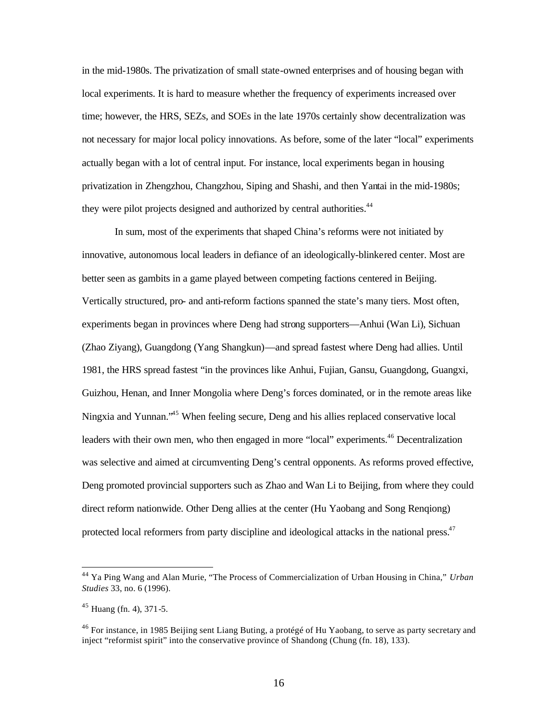in the mid-1980s. The privatization of small state-owned enterprises and of housing began with local experiments. It is hard to measure whether the frequency of experiments increased over time; however, the HRS, SEZs, and SOEs in the late 1970s certainly show decentralization was not necessary for major local policy innovations. As before, some of the later "local" experiments actually began with a lot of central input. For instance, local experiments began in housing privatization in Zhengzhou, Changzhou, Siping and Shashi, and then Yantai in the mid-1980s; they were pilot projects designed and authorized by central authorities.<sup>44</sup>

In sum, most of the experiments that shaped China's reforms were not initiated by innovative, autonomous local leaders in defiance of an ideologically-blinkered center. Most are better seen as gambits in a game played between competing factions centered in Beijing. Vertically structured, pro- and anti-reform factions spanned the state's many tiers. Most often, experiments began in provinces where Deng had strong supporters—Anhui (Wan Li), Sichuan (Zhao Ziyang), Guangdong (Yang Shangkun)—and spread fastest where Deng had allies. Until 1981, the HRS spread fastest "in the provinces like Anhui, Fujian, Gansu, Guangdong, Guangxi, Guizhou, Henan, and Inner Mongolia where Deng's forces dominated, or in the remote areas like Ningxia and Yunnan.<sup>45</sup> When feeling secure, Deng and his allies replaced conservative local leaders with their own men, who then engaged in more "local" experiments.<sup>46</sup> Decentralization was selective and aimed at circumventing Deng's central opponents. As reforms proved effective, Deng promoted provincial supporters such as Zhao and Wan Li to Beijing, from where they could direct reform nationwide. Other Deng allies at the center (Hu Yaobang and Song Renqiong) protected local reformers from party discipline and ideological attacks in the national press.<sup>47</sup>

<sup>44</sup> Ya Ping Wang and Alan Murie, "The Process of Commercialization of Urban Housing in China," *Urban Studies* 33, no. 6 (1996).

 $45$  Huang (fn. 4), 371-5.

<sup>&</sup>lt;sup>46</sup> For instance, in 1985 Beijing sent Liang Buting, a protégé of Hu Yaobang, to serve as party secretary and inject "reformist spirit" into the conservative province of Shandong (Chung (fn. 18), 133).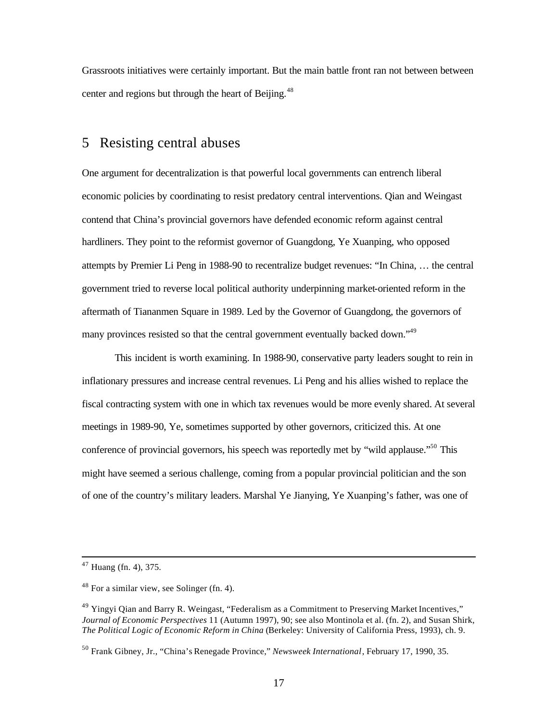Grassroots initiatives were certainly important. But the main battle front ran not between between center and regions but through the heart of Beijing.<sup>48</sup>

#### 5 Resisting central abuses

One argument for decentralization is that powerful local governments can entrench liberal economic policies by coordinating to resist predatory central interventions. Qian and Weingast contend that China's provincial governors have defended economic reform against central hardliners. They point to the reformist governor of Guangdong, Ye Xuanping, who opposed attempts by Premier Li Peng in 1988-90 to recentralize budget revenues: "In China, … the central government tried to reverse local political authority underpinning market-oriented reform in the aftermath of Tiananmen Square in 1989. Led by the Governor of Guangdong, the governors of many provinces resisted so that the central government eventually backed down."<sup>49</sup>

This incident is worth examining. In 1988-90, conservative party leaders sought to rein in inflationary pressures and increase central revenues. Li Peng and his allies wished to replace the fiscal contracting system with one in which tax revenues would be more evenly shared. At several meetings in 1989-90, Ye, sometimes supported by other governors, criticized this. At one conference of provincial governors, his speech was reportedly met by "wild applause."<sup>50</sup> This might have seemed a serious challenge, coming from a popular provincial politician and the son of one of the country's military leaders. Marshal Ye Jianying, Ye Xuanping's father, was one of

 $47$  Huang (fn. 4), 375.

 $48$  For a similar view, see Solinger (fn. 4).

<sup>&</sup>lt;sup>49</sup> Yingyi Qian and Barry R. Weingast, "Federalism as a Commitment to Preserving Market Incentives," *Journal of Economic Perspectives* 11 (Autumn 1997), 90; see also Montinola et al. (fn. 2), and Susan Shirk, *The Political Logic of Economic Reform in China* (Berkeley: University of California Press, 1993), ch. 9.

<sup>50</sup> Frank Gibney, Jr., "China's Renegade Province," *Newsweek International*, February 17, 1990, 35.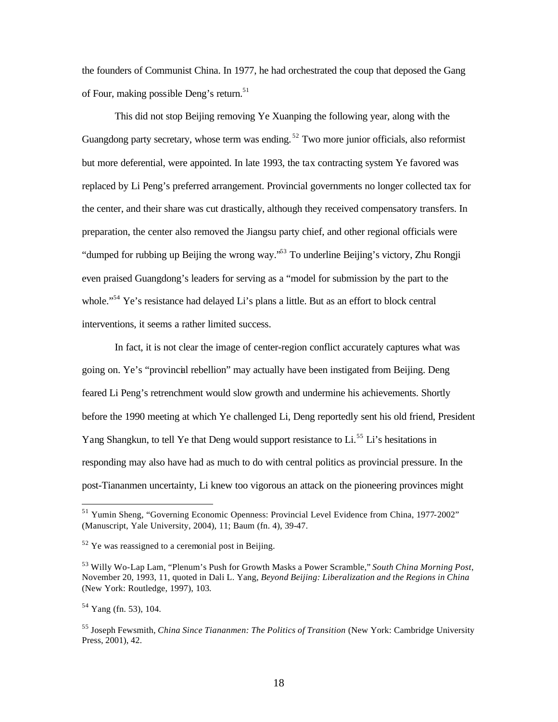the founders of Communist China. In 1977, he had orchestrated the coup that deposed the Gang of Four, making possible Deng's return.<sup>51</sup>

This did not stop Beijing removing Ye Xuanping the following year, along with the Guangdong party secretary, whose term was ending.<sup>52</sup> Two more junior officials, also reformist but more deferential, were appointed. In late 1993, the tax contracting system Ye favored was replaced by Li Peng's preferred arrangement. Provincial governments no longer collected tax for the center, and their share was cut drastically, although they received compensatory transfers. In preparation, the center also removed the Jiangsu party chief, and other regional officials were "dumped for rubbing up Beijing the wrong way."<sup>53</sup> To underline Beijing's victory, Zhu Rongji even praised Guangdong's leaders for serving as a "model for submission by the part to the whole."<sup>54</sup> Ye's resistance had delayed Li's plans a little. But as an effort to block central interventions, it seems a rather limited success.

In fact, it is not clear the image of center-region conflict accurately captures what was going on. Ye's "provincial rebellion" may actually have been instigated from Beijing. Deng feared Li Peng's retrenchment would slow growth and undermine his achievements. Shortly before the 1990 meeting at which Ye challenged Li, Deng reportedly sent his old friend, President Yang Shangkun, to tell Ye that Deng would support resistance to Li.<sup>55</sup> Li's hesitations in responding may also have had as much to do with central politics as provincial pressure. In the post-Tiananmen uncertainty, Li knew too vigorous an attack on the pioneering provinces might

<sup>&</sup>lt;sup>51</sup> Yumin Sheng, "Governing Economic Openness: Provincial Level Evidence from China, 1977-2002" (Manuscript, Yale University, 2004), 11; Baum (fn. 4), 39-47.

 $52$  Ye was reassigned to a ceremonial post in Beijing.

<sup>53</sup> Willy Wo-Lap Lam, "Plenum's Push for Growth Masks a Power Scramble," *South China Morning Post*, November 20, 1993, 11, quoted in Dali L. Yang, *Beyond Beijing: Liberalization and the Regions in China* (New York: Routledge, 1997), 103.

<sup>54</sup> Yang (fn. 53), 104.

<sup>55</sup> Joseph Fewsmith, *China Since Tiananmen: The Politics of Transition* (New York: Cambridge University Press, 2001), 42.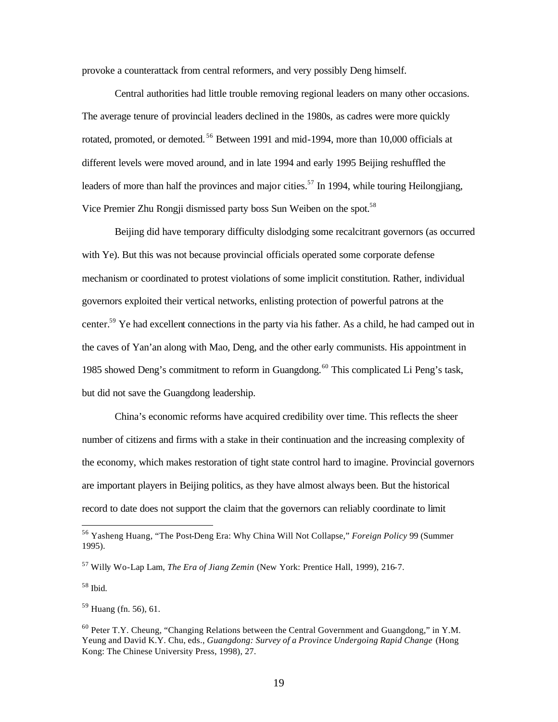provoke a counterattack from central reformers, and very possibly Deng himself.

Central authorities had little trouble removing regional leaders on many other occasions. The average tenure of provincial leaders declined in the 1980s, as cadres were more quickly rotated, promoted, or demoted.<sup>56</sup> Between 1991 and mid-1994, more than 10,000 officials at different levels were moved around, and in late 1994 and early 1995 Beijing reshuffled the leaders of more than half the provinces and major cities.<sup>57</sup> In 1994, while touring Heilongjiang, Vice Premier Zhu Rongji dismissed party boss Sun Weiben on the spot.<sup>58</sup>

Beijing did have temporary difficulty dislodging some recalcitrant governors (as occurred with Ye). But this was not because provincial officials operated some corporate defense mechanism or coordinated to protest violations of some implicit constitution. Rather, individual governors exploited their vertical networks, enlisting protection of powerful patrons at the center.<sup>59</sup> Ye had excellent connections in the party via his father. As a child, he had camped out in the caves of Yan'an along with Mao, Deng, and the other early communists. His appointment in 1985 showed Deng's commitment to reform in Guangdong.<sup>60</sup> This complicated Li Peng's task, but did not save the Guangdong leadership.

China's economic reforms have acquired credibility over time. This reflects the sheer number of citizens and firms with a stake in their continuation and the increasing complexity of the economy, which makes restoration of tight state control hard to imagine. Provincial governors are important players in Beijing politics, as they have almost always been. But the historical record to date does not support the claim that the governors can reliably coordinate to limit

<sup>56</sup> Yasheng Huang, "The Post-Deng Era: Why China Will Not Collapse," *Foreign Policy* 99 (Summer 1995).

<sup>57</sup> Willy Wo-Lap Lam, *The Era of Jiang Zemin* (New York: Prentice Hall, 1999), 216-7.

<sup>58</sup> Ibid.

<sup>59</sup> Huang (fn. 56), 61.

 $60$  Peter T.Y. Cheung, "Changing Relations between the Central Government and Guangdong," in Y.M. Yeung and David K.Y. Chu, eds., *Guangdong: Survey of a Province Undergoing Rapid Change* (Hong Kong: The Chinese University Press, 1998), 27.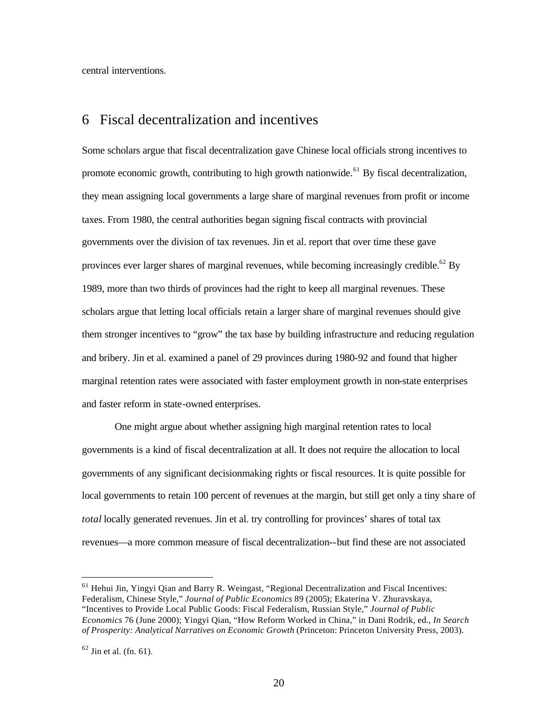central interventions.

#### 6 Fiscal decentralization and incentives

Some scholars argue that fiscal decentralization gave Chinese local officials strong incentives to promote economic growth, contributing to high growth nationwide.<sup>61</sup> By fiscal decentralization, they mean assigning local governments a large share of marginal revenues from profit or income taxes. From 1980, the central authorities began signing fiscal contracts with provincial governments over the division of tax revenues. Jin et al. report that over time these gave provinces ever larger shares of marginal revenues, while becoming increasingly credible.<sup>62</sup> By 1989, more than two thirds of provinces had the right to keep all marginal revenues. These scholars argue that letting local officials retain a larger share of marginal revenues should give them stronger incentives to "grow" the tax base by building infrastructure and reducing regulation and bribery. Jin et al. examined a panel of 29 provinces during 1980-92 and found that higher marginal retention rates were associated with faster employment growth in non-state enterprises and faster reform in state-owned enterprises.

One might argue about whether assigning high marginal retention rates to local governments is a kind of fiscal decentralization at all. It does not require the allocation to local governments of any significant decisionmaking rights or fiscal resources. It is quite possible for local governments to retain 100 percent of revenues at the margin, but still get only a tiny share of *total* locally generated revenues. Jin et al. try controlling for provinces' shares of total tax revenues—a more common measure of fiscal decentralization--but find these are not associated

<sup>&</sup>lt;sup>61</sup> Hehui Jin, Yingyi Qian and Barry R. Weingast, "Regional Decentralization and Fiscal Incentives: Federalism, Chinese Style," *Journal of Public Economics* 89 (2005); Ekaterina V. Zhuravskaya, "Incentives to Provide Local Public Goods: Fiscal Federalism, Russian Style," *Journal of Public Economics* 76 (June 2000); Yingyi Qian, "How Reform Worked in China," in Dani Rodrik, ed., *In Search of Prosperity: Analytical Narratives on Economic Growth* (Princeton: Princeton University Press, 2003).

 $62$  Jin et al. (fn. 61).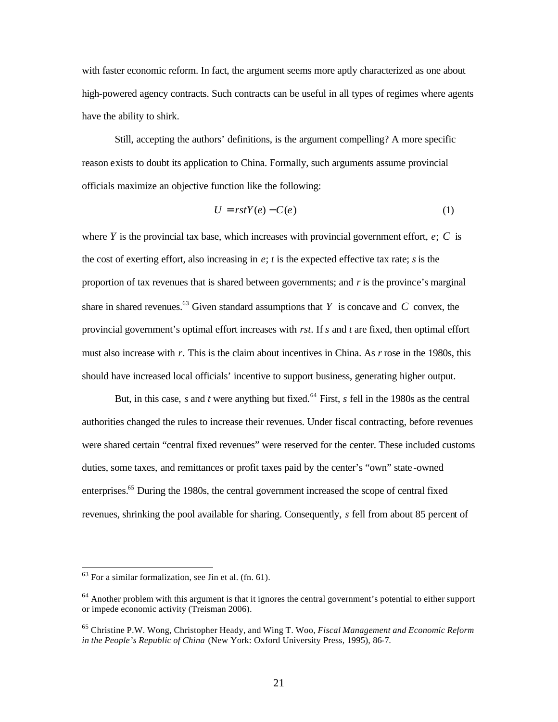with faster economic reform. In fact, the argument seems more aptly characterized as one about high-powered agency contracts. Such contracts can be useful in all types of regimes where agents have the ability to shirk.

Still, accepting the authors' definitions, is the argument compelling? A more specific reason exists to doubt its application to China. Formally, such arguments assume provincial officials maximize an objective function like the following:

$$
U = rstY(e) - C(e)
$$
 (1)

where *Y* is the provincial tax base, which increases with provincial government effort,  $e$ ;  $C$  is the cost of exerting effort, also increasing in  $e$ ;  $t$  is the expected effective tax rate;  $s$  is the proportion of tax revenues that is shared between governments; and *r* is the province's marginal share in shared revenues.<sup>63</sup> Given standard assumptions that *Y* is concave and *C* convex, the provincial government's optimal effort increases with *rst*. If *s* and *t* are fixed, then optimal effort must also increase with *r*. This is the claim about incentives in China. As *r* rose in the 1980s, this should have increased local officials' incentive to support business, generating higher output.

But, in this case, *s* and *t* were anything but fixed.<sup>64</sup> First, *s* fell in the 1980s as the central authorities changed the rules to increase their revenues. Under fiscal contracting, before revenues were shared certain "central fixed revenues" were reserved for the center. These included customs duties, some taxes, and remittances or profit taxes paid by the center's "own" state -owned enterprises.<sup>65</sup> During the 1980s, the central government increased the scope of central fixed revenues, shrinking the pool available for sharing. Consequently, *s* fell from about 85 percent of

 $63$  For a similar formalization, see Jin et al. (fn. 61).

<sup>&</sup>lt;sup>64</sup> Another problem with this argument is that it ignores the central government's potential to either support or impede economic activity (Treisman 2006).

<sup>65</sup> Christine P.W. Wong, Christopher Heady, and Wing T. Woo, *Fiscal Management and Economic Reform in the People's Republic of China* (New York: Oxford University Press, 1995), 86-7.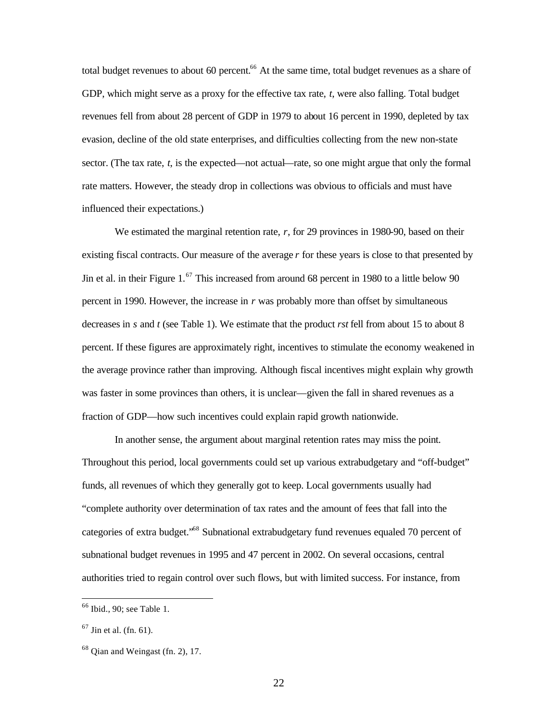total budget revenues to about 60 percent.<sup>66</sup> At the same time, total budget revenues as a share of GDP, which might serve as a proxy for the effective tax rate, *t*, were also falling. Total budget revenues fell from about 28 percent of GDP in 1979 to about 16 percent in 1990, depleted by tax evasion, decline of the old state enterprises, and difficulties collecting from the new non-state sector. (The tax rate, *t*, is the expected—not actual—rate, so one might argue that only the formal rate matters. However, the steady drop in collections was obvious to officials and must have influenced their expectations.)

We estimated the marginal retention rate, *r*, for 29 provinces in 1980-90, based on their existing fiscal contracts. Our measure of the average *r* for these years is close to that presented by Jin et al. in their Figure 1.<sup>67</sup> This increased from around 68 percent in 1980 to a little below 90 percent in 1990. However, the increase in *r* was probably more than offset by simultaneous decreases in *s* and *t* (see Table 1). We estimate that the product *rst* fell from about 15 to about 8 percent. If these figures are approximately right, incentives to stimulate the economy weakened in the average province rather than improving. Although fiscal incentives might explain why growth was faster in some provinces than others, it is unclear—given the fall in shared revenues as a fraction of GDP—how such incentives could explain rapid growth nationwide.

In another sense, the argument about marginal retention rates may miss the point. Throughout this period, local governments could set up various extrabudgetary and "off-budget" funds, all revenues of which they generally got to keep. Local governments usually had "complete authority over determination of tax rates and the amount of fees that fall into the categories of extra budget.<sup>568</sup> Subnational extrabudgetary fund revenues equaled 70 percent of subnational budget revenues in 1995 and 47 percent in 2002. On several occasions, central authorities tried to regain control over such flows, but with limited success. For instance, from

<sup>&</sup>lt;sup>66</sup> Ibid., 90; see Table 1.

 $67$  Jin et al. (fn. 61).

<sup>68</sup> Qian and Weingast (fn. 2), 17.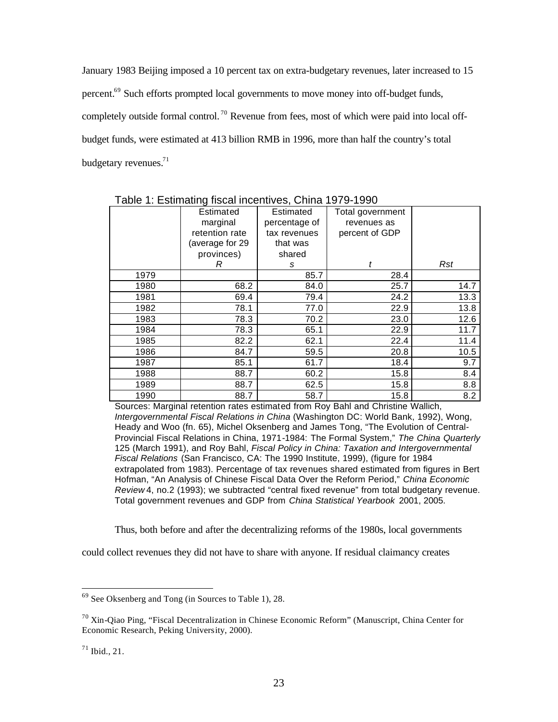January 1983 Beijing imposed a 10 percent tax on extra-budgetary revenues, later increased to 15 percent.<sup>69</sup> Such efforts prompted local governments to move money into off-budget funds, completely outside formal control.<sup>70</sup> Revenue from fees, most of which were paid into local offbudget funds, were estimated at 413 billion RMB in 1996, more than half the country's total budgetary revenues. $71$ 

|      | Table T. Latingting hought incentives, Online 1979-1990 |               |                  |            |
|------|---------------------------------------------------------|---------------|------------------|------------|
|      | Estimated                                               | Estimated     | Total government |            |
|      | marginal                                                | percentage of | revenues as      |            |
|      | retention rate                                          | tax revenues  | percent of GDP   |            |
|      | (average for 29                                         | that was      |                  |            |
|      | provinces)                                              | shared        |                  |            |
|      | R                                                       | s             | t                | <b>Rst</b> |
| 1979 |                                                         | 85.7          | 28.4             |            |
| 1980 | 68.2                                                    | 84.0          | 25.7             | 14.7       |
| 1981 | 69.4                                                    | 79.4          | 24.2             | 13.3       |
| 1982 | 78.1                                                    | 77.0          | 22.9             | 13.8       |
| 1983 | 78.3                                                    | 70.2          | 23.0             | 12.6       |
| 1984 | 78.3                                                    | 65.1          | 22.9             | 11.7       |
| 1985 | 82.2                                                    | 62.1          | 22.4             | 11.4       |
| 1986 | 84.7                                                    | 59.5          | 20.8             | 10.5       |
| 1987 | 85.1                                                    | 61.7          | 18.4             | 9.7        |
| 1988 | 88.7                                                    | 60.2          | 15.8             | 8.4        |
| 1989 | 88.7                                                    | 62.5          | 15.8             | 8.8        |
| 1990 | 88.7                                                    | 58.7          | 15.8             | 8.2        |

Table 1: Estimating fiscal incentives, China 1979-1990

Sources: Marginal retention rates estimated from Roy Bahl and Christine Wallich, *Intergovernmental Fiscal Relations in China* (Washington DC: World Bank, 1992), Wong, Heady and Woo (fn. 65), Michel Oksenberg and James Tong, "The Evolution of Central-Provincial Fiscal Relations in China, 1971-1984: The Formal System," *The China Quarterly* 125 (March 1991), and Roy Bahl, *Fiscal Policy in China: Taxation and Intergovernmental Fiscal Relations* (San Francisco, CA: The 1990 Institute, 1999), (figure for 1984 extrapolated from 1983). Percentage of tax revenues shared estimated from figures in Bert Hofman, "An Analysis of Chinese Fiscal Data Over the Reform Period," *China Economic Review* 4, no.2 (1993); we subtracted "central fixed revenue" from total budgetary revenue. Total government revenues and GDP from *China Statistical Yearbook* 2001, 2005.

Thus, both before and after the decentralizing reforms of the 1980s, local governments

could collect revenues they did not have to share with anyone. If residual claimancy creates

<sup>&</sup>lt;sup>69</sup> See Oksenberg and Tong (in Sources to Table 1), 28.

 $70$  Xin-Qiao Ping, "Fiscal Decentralization in Chinese Economic Reform" (Manuscript, China Center for Economic Research, Peking University, 2000).

 $^{71}$  Ibid., 21.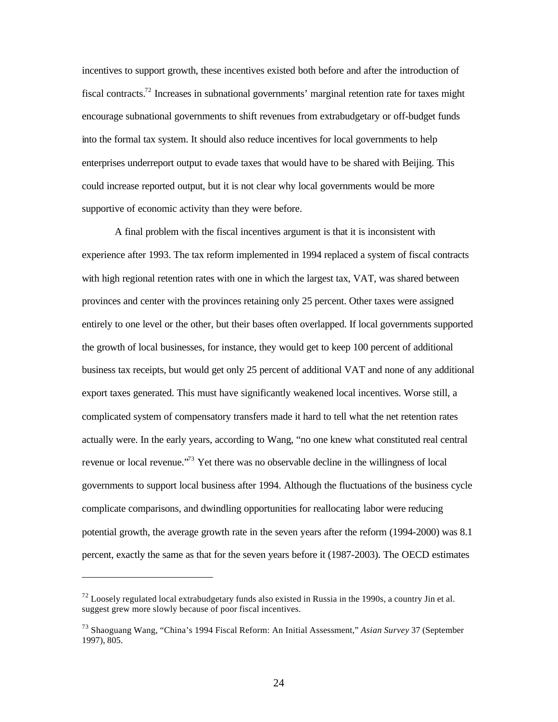incentives to support growth, these incentives existed both before and after the introduction of fiscal contracts.<sup>72</sup> Increases in subnational governments' marginal retention rate for taxes might encourage subnational governments to shift revenues from extrabudgetary or off-budget funds into the formal tax system. It should also reduce incentives for local governments to help enterprises underreport output to evade taxes that would have to be shared with Beijing. This could increase reported output, but it is not clear why local governments would be more supportive of economic activity than they were before.

A final problem with the fiscal incentives argument is that it is inconsistent with experience after 1993. The tax reform implemented in 1994 replaced a system of fiscal contracts with high regional retention rates with one in which the largest tax, VAT, was shared between provinces and center with the provinces retaining only 25 percent. Other taxes were assigned entirely to one level or the other, but their bases often overlapped. If local governments supported the growth of local businesses, for instance, they would get to keep 100 percent of additional business tax receipts, but would get only 25 percent of additional VAT and none of any additional export taxes generated. This must have significantly weakened local incentives. Worse still, a complicated system of compensatory transfers made it hard to tell what the net retention rates actually were. In the early years, according to Wang, "no one knew what constituted real central revenue or local revenue.<sup>73</sup> Yet there was no observable decline in the willingness of local governments to support local business after 1994. Although the fluctuations of the business cycle complicate comparisons, and dwindling opportunities for reallocating labor were reducing potential growth, the average growth rate in the seven years after the reform (1994-2000) was 8.1 percent, exactly the same as that for the seven years before it (1987-2003). The OECD estimates

 $^{72}$  Loosely regulated local extrabudgetary funds also existed in Russia in the 1990s, a country Jin et al. suggest grew more slowly because of poor fiscal incentives.

<sup>73</sup> Shaoguang Wang, "China's 1994 Fiscal Reform: An Initial Assessment," *Asian Survey* 37 (September 1997), 805.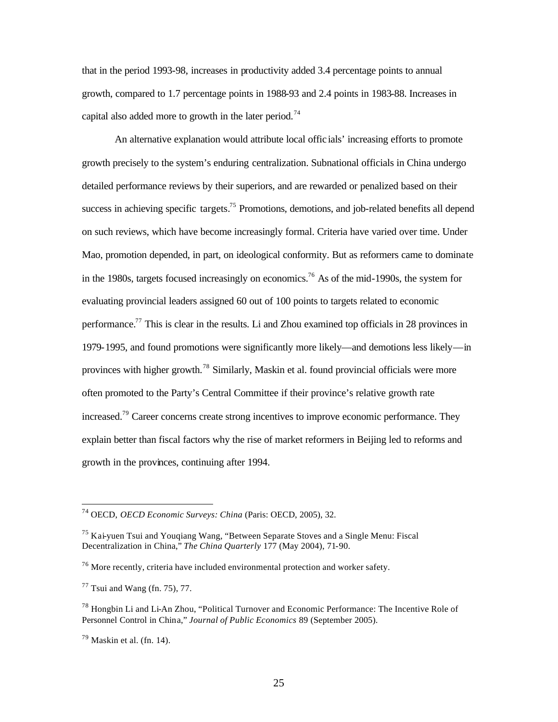that in the period 1993-98, increases in productivity added 3.4 percentage points to annual growth, compared to 1.7 percentage points in 1988-93 and 2.4 points in 1983-88. Increases in capital also added more to growth in the later period.<sup>74</sup>

An alternative explanation would attribute local offic ials' increasing efforts to promote growth precisely to the system's enduring centralization. Subnational officials in China undergo detailed performance reviews by their superiors, and are rewarded or penalized based on their success in achieving specific targets.<sup>75</sup> Promotions, demotions, and job-related benefits all depend on such reviews, which have become increasingly formal. Criteria have varied over time. Under Mao, promotion depended, in part, on ideological conformity. But as reformers came to dominate in the 1980s, targets focused increasingly on economics.<sup>76</sup> As of the mid-1990s, the system for evaluating provincial leaders assigned 60 out of 100 points to targets related to economic performance.<sup>77</sup> This is clear in the results. Li and Zhou examined top officials in 28 provinces in 1979-1995, and found promotions were significantly more likely—and demotions less likely—in provinces with higher growth.<sup>78</sup> Similarly, Maskin et al. found provincial officials were more often promoted to the Party's Central Committee if their province's relative growth rate increased.<sup>79</sup> Career concerns create strong incentives to improve economic performance. They explain better than fiscal factors why the rise of market reformers in Beijing led to reforms and growth in the provinces, continuing after 1994.

<sup>74</sup> OECD, *OECD Economic Surveys: China* (Paris: OECD, 2005), 32.

<sup>75</sup> Kai-yuen Tsui and Youqiang Wang, "Between Separate Stoves and a Single Menu: Fiscal Decentralization in China," *The China Quarterly* 177 (May 2004), 71-90.

 $76$  More recently, criteria have included environmental protection and worker safety.

 $77$  Tsui and Wang (fn. 75), 77.

<sup>78</sup> Hongbin Li and Li-An Zhou, "Political Turnover and Economic Performance: The Incentive Role of Personnel Control in China," *Journal of Public Economics* 89 (September 2005).

 $79$  Maskin et al. (fn. 14).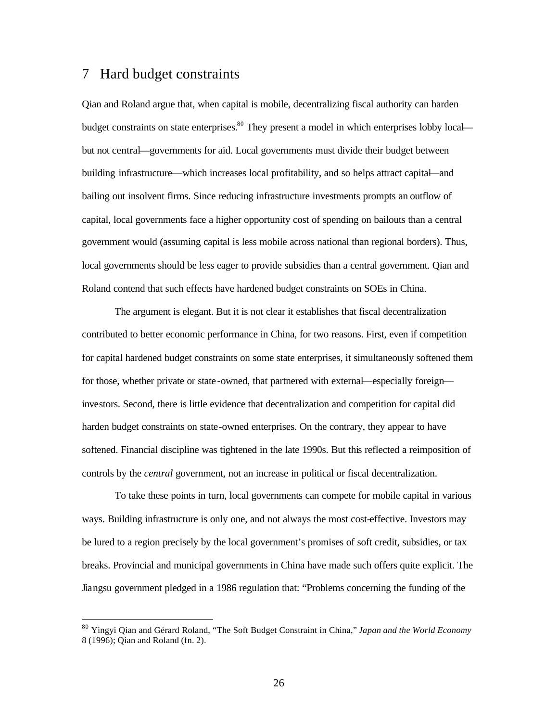### 7 Hard budget constraints

 $\overline{a}$ 

Qian and Roland argue that, when capital is mobile, decentralizing fiscal authority can harden budget constraints on state enterprises.<sup>80</sup> They present a model in which enterprises lobby local but not central—governments for aid. Local governments must divide their budget between building infrastructure—which increases local profitability, and so helps attract capital—and bailing out insolvent firms. Since reducing infrastructure investments prompts an outflow of capital, local governments face a higher opportunity cost of spending on bailouts than a central government would (assuming capital is less mobile across national than regional borders). Thus, local governments should be less eager to provide subsidies than a central government. Qian and Roland contend that such effects have hardened budget constraints on SOEs in China.

The argument is elegant. But it is not clear it establishes that fiscal decentralization contributed to better economic performance in China, for two reasons. First, even if competition for capital hardened budget constraints on some state enterprises, it simultaneously softened them for those, whether private or state -owned, that partnered with external—especially foreign investors. Second, there is little evidence that decentralization and competition for capital did harden budget constraints on state-owned enterprises. On the contrary, they appear to have softened. Financial discipline was tightened in the late 1990s. But this reflected a reimposition of controls by the *central* government, not an increase in political or fiscal decentralization.

To take these points in turn, local governments can compete for mobile capital in various ways. Building infrastructure is only one, and not always the most cost-effective. Investors may be lured to a region precisely by the local government's promises of soft credit, subsidies, or tax breaks. Provincial and municipal governments in China have made such offers quite explicit. The Jiangsu government pledged in a 1986 regulation that: "Problems concerning the funding of the

<sup>80</sup> Yingyi Qian and Gérard Roland, "The Soft Budget Constraint in China," *Japan and the World Economy* 8 (1996); Qian and Roland (fn. 2).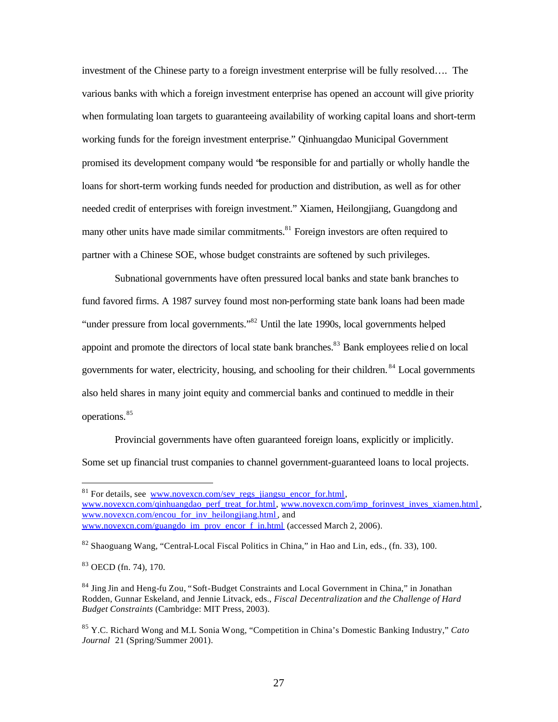investment of the Chinese party to a foreign investment enterprise will be fully resolved…. The various banks with which a foreign investment enterprise has opened an account will give priority when formulating loan targets to guaranteeing availability of working capital loans and short-term working funds for the foreign investment enterprise." Qinhuangdao Municipal Government promised its development company would "be responsible for and partially or wholly handle the loans for short-term working funds needed for production and distribution, as well as for other needed credit of enterprises with foreign investment." Xiamen, Heilongjiang, Guangdong and many other units have made similar commitments.<sup>81</sup> Foreign investors are often required to partner with a Chinese SOE, whose budget constraints are softened by such privileges.

Subnational governments have often pressured local banks and state bank branches to fund favored firms. A 1987 survey found most non-performing state bank loans had been made "under pressure from local governments."<sup>82</sup> Until the late 1990s, local governments helped appoint and promote the directors of local state bank branches.<sup>83</sup> Bank employees relied on local governments for water, electricity, housing, and schooling for their children.<sup>84</sup> Local governments also held shares in many joint equity and commercial banks and continued to meddle in their operations.<sup>85</sup>

Provincial governments have often guaranteed foreign loans, explicitly or implicitly. Some set up financial trust companies to channel government-guaranteed loans to local projects.

 $81$  For details, see www.novexcn.com/sev\_regs\_jiangsu\_encor\_for.html, www.novexcn.com/qinhuangdao\_perf\_treat\_for.html, www.novexcn.com/imp\_forinvest\_inves\_xiamen.html, www.novexcn.com/encou\_for\_inv\_heilongjiang.html, and www.novexcn.com/guangdo\_im\_prov\_encor\_f\_in.html (accessed March 2, 2006).

<sup>&</sup>lt;sup>82</sup> Shaoguang Wang, "Central-Local Fiscal Politics in China," in Hao and Lin, eds., (fn. 33), 100.

<sup>83</sup> OECD (fn. 74), 170.

<sup>84</sup> Jing Jin and Heng-fu Zou, "Soft-Budget Constraints and Local Government in China," in Jonathan Rodden, Gunnar Eskeland, and Jennie Litvack, eds., *Fiscal Decentralization* a*nd the Challenge of Hard Budget Constraints* (Cambridge: MIT Press, 2003).

<sup>85</sup> Y.C. Richard Wong and M.L Sonia Wong, "Competition in China's Domestic Banking Industry," *Cato Journal* 21 (Spring/Summer 2001).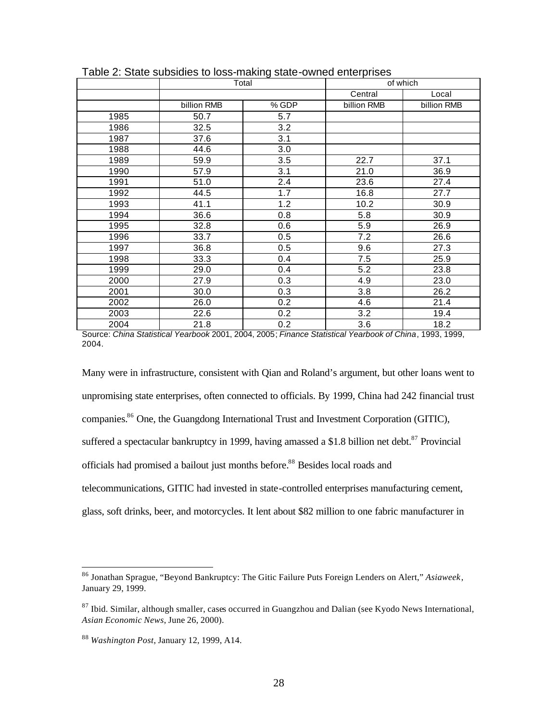|      | Total       |       | of which    |             |  |  |
|------|-------------|-------|-------------|-------------|--|--|
|      |             |       | Central     | Local       |  |  |
|      | billion RMB | % GDP | billion RMB | billion RMB |  |  |
| 1985 | 50.7        | 5.7   |             |             |  |  |
| 1986 | 32.5        | 3.2   |             |             |  |  |
| 1987 | 37.6        | 3.1   |             |             |  |  |
| 1988 | 44.6        | 3.0   |             |             |  |  |
| 1989 | 59.9        | 3.5   | 22.7        | 37.1        |  |  |
| 1990 | 57.9        | 3.1   | 21.0        | 36.9        |  |  |
| 1991 | 51.0        | 2.4   | 23.6        | 27.4        |  |  |
| 1992 | 44.5        | 1.7   | 16.8        | 27.7        |  |  |
| 1993 | 41.1        | 1.2   | 10.2        | 30.9        |  |  |
| 1994 | 36.6        | 0.8   | 5.8         | 30.9        |  |  |
| 1995 | 32.8        | 0.6   | 5.9         | 26.9        |  |  |
| 1996 | 33.7        | 0.5   | 7.2         | 26.6        |  |  |
| 1997 | 36.8        | 0.5   | 9.6         | 27.3        |  |  |
| 1998 | 33.3        | 0.4   | 7.5         | 25.9        |  |  |
| 1999 | 29.0        | 0.4   | 5.2         | 23.8        |  |  |
| 2000 | 27.9        | 0.3   | 4.9         | 23.0        |  |  |
| 2001 | 30.0        | 0.3   | 3.8         | 26.2        |  |  |
| 2002 | 26.0        | 0.2   | 4.6         | 21.4        |  |  |
| 2003 | 22.6        | 0.2   | 3.2         | 19.4        |  |  |
| 2004 | 21.8        | 0.2   | 3.6         | 18.2        |  |  |

| Table 2: State subsidies to loss-making state-owned enterprises |  |  |
|-----------------------------------------------------------------|--|--|
|                                                                 |  |  |

Source: *China Statistical Yearbook* 2001, 2004, 2005; *Finance Statistical Yearbook of China*, 1993, 1999, 2004.

Many were in infrastructure, consistent with Qian and Roland's argument, but other loans went to unpromising state enterprises, often connected to officials. By 1999, China had 242 financial trust companies.<sup>86</sup> One, the Guangdong International Trust and Investment Corporation (GITIC), suffered a spectacular bankruptcy in 1999, having amassed a \$1.8 billion net debt.<sup>87</sup> Provincial officials had promised a bailout just months before. <sup>88</sup> Besides local roads and telecommunications, GITIC had invested in state-controlled enterprises manufacturing cement, glass, soft drinks, beer, and motorcycles. It lent about \$82 million to one fabric manufacturer in

<sup>86</sup> Jonathan Sprague, "Beyond Bankruptcy: The Gitic Failure Puts Foreign Lenders on Alert," *Asiaweek*, January 29, 1999.

 $87$  Ibid. Similar, although smaller, cases occurred in Guangzhou and Dalian (see Kyodo News International, *Asian Economic News*, June 26, 2000).

<sup>88</sup> *Washington Post*, January 12, 1999, A14.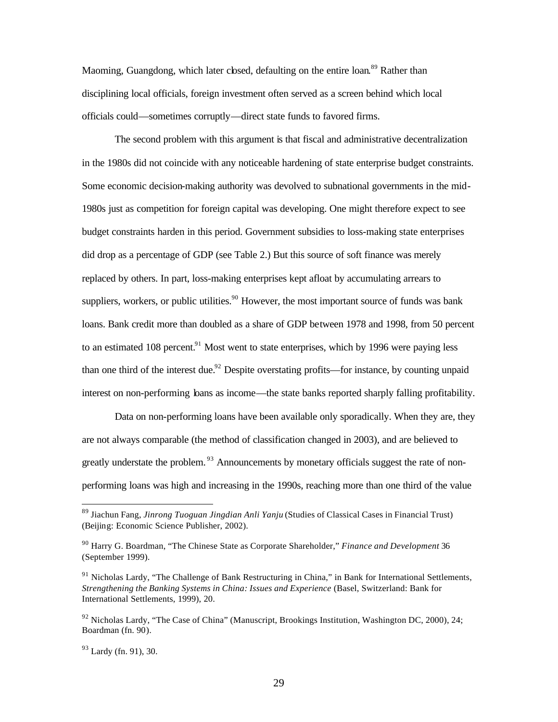Maoming, Guangdong, which later closed, defaulting on the entire loan.<sup>89</sup> Rather than disciplining local officials, foreign investment often served as a screen behind which local officials could—sometimes corruptly—direct state funds to favored firms.

The second problem with this argument is that fiscal and administrative decentralization in the 1980s did not coincide with any noticeable hardening of state enterprise budget constraints. Some economic decision-making authority was devolved to subnational governments in the mid-1980s just as competition for foreign capital was developing. One might therefore expect to see budget constraints harden in this period. Government subsidies to loss-making state enterprises did drop as a percentage of GDP (see Table 2.) But this source of soft finance was merely replaced by others. In part, loss-making enterprises kept afloat by accumulating arrears to suppliers, workers, or public utilities.<sup>90</sup> However, the most important source of funds was bank loans. Bank credit more than doubled as a share of GDP between 1978 and 1998, from 50 percent to an estimated 108 percent. $91$  Most went to state enterprises, which by 1996 were paying less than one third of the interest due.<sup>92</sup> Despite overstating profits—for instance, by counting unpaid interest on non-performing loans as income—the state banks reported sharply falling profitability.

Data on non-performing loans have been available only sporadically. When they are, they are not always comparable (the method of classification changed in 2003), and are believed to greatly understate the problem.<sup>93</sup> Announcements by monetary officials suggest the rate of nonperforming loans was high and increasing in the 1990s, reaching more than one third of the value

 $93$  Lardy (fn. 91), 30.

<sup>89</sup> Jiachun Fang, *Jinrong Tuoguan Jingdian Anli Yanju* (Studies of Classical Cases in Financial Trust) (Beijing: Economic Science Publisher, 2002).

<sup>90</sup> Harry G. Boardman, "The Chinese State as Corporate Shareholder," *Finance and Development* 36 (September 1999).

<sup>&</sup>lt;sup>91</sup> Nicholas Lardy, "The Challenge of Bank Restructuring in China," in Bank for International Settlements, *Strengthening the Banking Systems in China: Issues and Experience* (Basel, Switzerland: Bank for International Settlements, 1999), 20.

 $92$  Nicholas Lardy, "The Case of China" (Manuscript, Brookings Institution, Washington DC, 2000), 24; Boardman (fn. 90).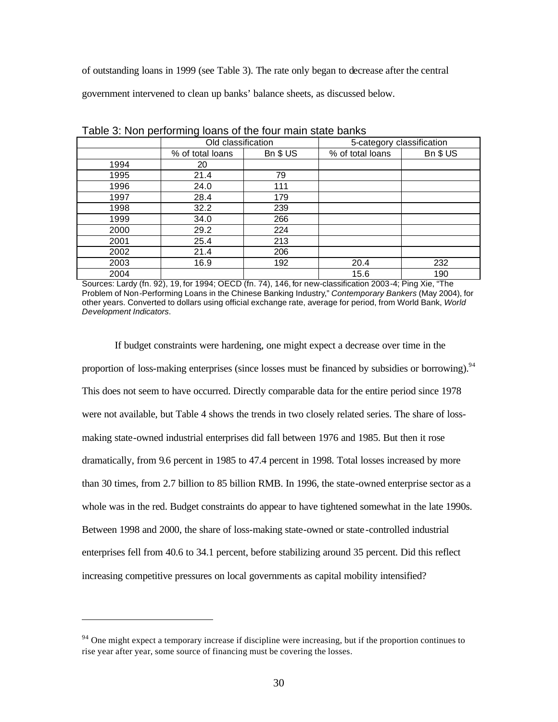of outstanding loans in 1999 (see Table 3). The rate only began to decrease after the central

government intervened to clean up banks' balance sheets, as discussed below.

|      | <b>Table of Holl pollottiming loans of the foar main state barme</b><br>Old classification |         | 5-category classification |         |  |  |
|------|--------------------------------------------------------------------------------------------|---------|---------------------------|---------|--|--|
|      | % of total loans                                                                           | Bn \$US | % of total loans          | Bn \$US |  |  |
| 1994 | 20                                                                                         |         |                           |         |  |  |
| 1995 | 21.4                                                                                       | 79      |                           |         |  |  |
| 1996 | 24.0                                                                                       | 111     |                           |         |  |  |
| 1997 | 28.4                                                                                       | 179     |                           |         |  |  |
| 1998 | 32.2                                                                                       | 239     |                           |         |  |  |
| 1999 | 34.0                                                                                       | 266     |                           |         |  |  |
| 2000 | 29.2                                                                                       | 224     |                           |         |  |  |
| 2001 | 25.4                                                                                       | 213     |                           |         |  |  |
| 2002 | 21.4                                                                                       | 206     |                           |         |  |  |
| 2003 | 16.9                                                                                       | 192     | 20.4                      | 232     |  |  |
| 2004 |                                                                                            |         | 15.6                      | 190     |  |  |

| Table 3: Non performing loans of the four main state banks |
|------------------------------------------------------------|
|------------------------------------------------------------|

Sources: Lardy (fn. 92), 19, for 1994; OECD (fn. 74), 146, for new-classification 2003-4; Ping Xie, "The Problem of Non-Performing Loans in the Chinese Banking Industry," *Contemporary Bankers* (May 2004), for other years. Converted to dollars using official exchange rate, average for period, from World Bank, *World Development Indicators*.

If budget constraints were hardening, one might expect a decrease over time in the proportion of loss-making enterprises (since losses must be financed by subsidies or borrowing).<sup>94</sup> This does not seem to have occurred. Directly comparable data for the entire period since 1978 were not available, but Table 4 shows the trends in two closely related series. The share of lossmaking state-owned industrial enterprises did fall between 1976 and 1985. But then it rose dramatically, from 9.6 percent in 1985 to 47.4 percent in 1998. Total losses increased by more than 30 times, from 2.7 billion to 85 billion RMB. In 1996, the state-owned enterprise sector as a whole was in the red. Budget constraints do appear to have tightened somewhat in the late 1990s. Between 1998 and 2000, the share of loss-making state-owned or state -controlled industrial enterprises fell from 40.6 to 34.1 percent, before stabilizing around 35 percent. Did this reflect increasing competitive pressures on local governments as capital mobility intensified?

 $94$  One might expect a temporary increase if discipline were increasing, but if the proportion continues to rise year after year, some source of financing must be covering the losses.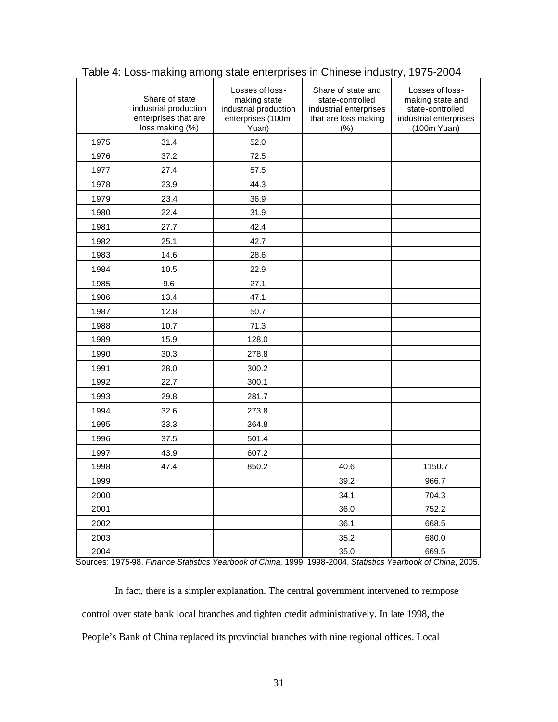|      | Share of state<br>industrial production<br>enterprises that are<br>loss making (%) | Losses of loss-<br>making state<br>industrial production<br>enterprises (100m<br>Yuan) | Share of state and<br>state-controlled<br>industrial enterprises<br>that are loss making<br>(%) | Losses of loss-<br>making state and<br>state-controlled<br>industrial enterprises<br>(100m Yuan) |
|------|------------------------------------------------------------------------------------|----------------------------------------------------------------------------------------|-------------------------------------------------------------------------------------------------|--------------------------------------------------------------------------------------------------|
| 1975 | 31.4                                                                               | 52.0                                                                                   |                                                                                                 |                                                                                                  |
| 1976 | 37.2                                                                               | 72.5                                                                                   |                                                                                                 |                                                                                                  |
| 1977 | 27.4                                                                               | 57.5                                                                                   |                                                                                                 |                                                                                                  |
| 1978 | 23.9                                                                               | 44.3                                                                                   |                                                                                                 |                                                                                                  |
| 1979 | 23.4                                                                               | 36.9                                                                                   |                                                                                                 |                                                                                                  |
| 1980 | 22.4                                                                               | 31.9                                                                                   |                                                                                                 |                                                                                                  |
| 1981 | 27.7                                                                               | 42.4                                                                                   |                                                                                                 |                                                                                                  |
| 1982 | 25.1                                                                               | 42.7                                                                                   |                                                                                                 |                                                                                                  |
| 1983 | 14.6                                                                               | 28.6                                                                                   |                                                                                                 |                                                                                                  |
| 1984 | 10.5                                                                               | 22.9                                                                                   |                                                                                                 |                                                                                                  |
| 1985 | 9.6                                                                                | 27.1                                                                                   |                                                                                                 |                                                                                                  |
| 1986 | 13.4                                                                               | 47.1                                                                                   |                                                                                                 |                                                                                                  |
| 1987 | 12.8                                                                               | 50.7                                                                                   |                                                                                                 |                                                                                                  |
| 1988 | 10.7                                                                               | 71.3                                                                                   |                                                                                                 |                                                                                                  |
| 1989 | 15.9                                                                               | 128.0                                                                                  |                                                                                                 |                                                                                                  |
| 1990 | 30.3                                                                               | 278.8                                                                                  |                                                                                                 |                                                                                                  |
| 1991 | 28.0                                                                               | 300.2                                                                                  |                                                                                                 |                                                                                                  |
| 1992 | 22.7                                                                               | 300.1                                                                                  |                                                                                                 |                                                                                                  |
| 1993 | 29.8                                                                               | 281.7                                                                                  |                                                                                                 |                                                                                                  |
| 1994 | 32.6                                                                               | 273.8                                                                                  |                                                                                                 |                                                                                                  |
| 1995 | 33.3                                                                               | 364.8                                                                                  |                                                                                                 |                                                                                                  |
| 1996 | 37.5                                                                               | 501.4                                                                                  |                                                                                                 |                                                                                                  |
| 1997 | 43.9                                                                               | 607.2                                                                                  |                                                                                                 |                                                                                                  |
| 1998 | 47.4                                                                               | 850.2                                                                                  | 40.6                                                                                            | 1150.7                                                                                           |
| 1999 |                                                                                    |                                                                                        | 39.2                                                                                            | 966.7                                                                                            |
| 2000 |                                                                                    |                                                                                        | 34.1                                                                                            | 704.3                                                                                            |
| 2001 |                                                                                    |                                                                                        | 36.0                                                                                            | 752.2                                                                                            |
| 2002 |                                                                                    |                                                                                        | 36.1                                                                                            | 668.5                                                                                            |
| 2003 |                                                                                    |                                                                                        | 35.2                                                                                            | 680.0                                                                                            |
| 2004 |                                                                                    |                                                                                        | 35.0                                                                                            | 669.5                                                                                            |

Table 4: Loss-making among state enterprises in Chinese industry, 1975-2004

Sources: 1975-98, *Finance Statistics Yearbook of China,* 1999; 1998-2004, *Statistics Yearbook of China*, 2005.

In fact, there is a simpler explanation. The central government intervened to reimpose control over state bank local branches and tighten credit administratively. In late 1998, the People's Bank of China replaced its provincial branches with nine regional offices. Local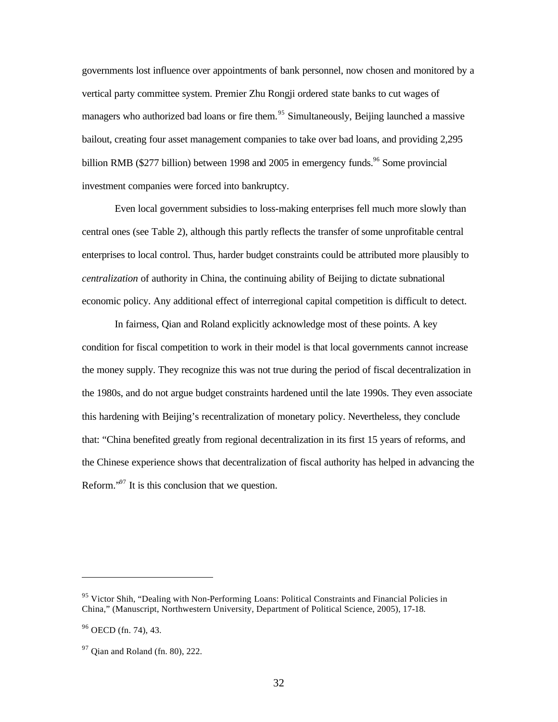governments lost influence over appointments of bank personnel, now chosen and monitored by a vertical party committee system. Premier Zhu Rongji ordered state banks to cut wages of managers who authorized bad loans or fire them.<sup>95</sup> Simultaneously, Beijing launched a massive bailout, creating four asset management companies to take over bad loans, and providing 2,295 billion RMB (\$277 billion) between 1998 and 2005 in emergency funds.<sup>96</sup> Some provincial investment companies were forced into bankruptcy.

Even local government subsidies to loss-making enterprises fell much more slowly than central ones (see Table 2), although this partly reflects the transfer of some unprofitable central enterprises to local control. Thus, harder budget constraints could be attributed more plausibly to *centralization* of authority in China, the continuing ability of Beijing to dictate subnational economic policy. Any additional effect of interregional capital competition is difficult to detect.

In fairness, Qian and Roland explicitly acknowledge most of these points. A key condition for fiscal competition to work in their model is that local governments cannot increase the money supply. They recognize this was not true during the period of fiscal decentralization in the 1980s, and do not argue budget constraints hardened until the late 1990s. They even associate this hardening with Beijing's recentralization of monetary policy. Nevertheless, they conclude that: "China benefited greatly from regional decentralization in its first 15 years of reforms, and the Chinese experience shows that decentralization of fiscal authority has helped in advancing the Reform. $\cdot^{97}$  It is this conclusion that we question.

<sup>&</sup>lt;sup>95</sup> Victor Shih, "Dealing with Non-Performing Loans: Political Constraints and Financial Policies in China," (Manuscript, Northwestern University, Department of Political Science, 2005), 17-18.

 $96$  OECD (fn. 74), 43.

 $97$  Qian and Roland (fn. 80), 222.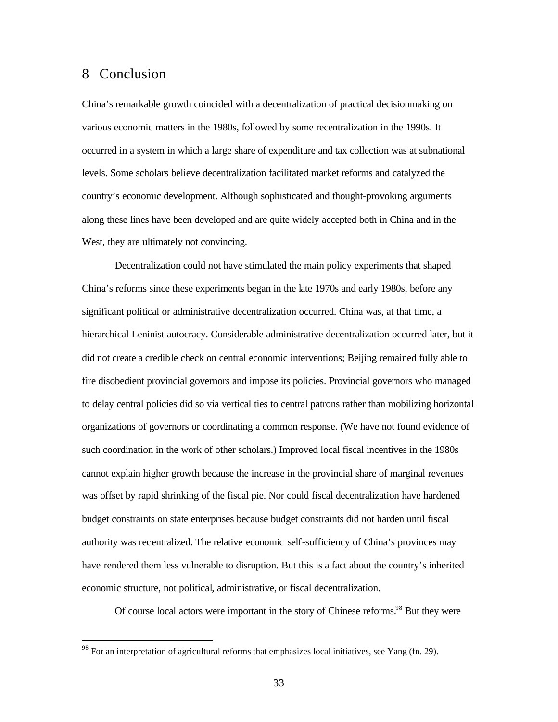## 8 Conclusion

 $\overline{a}$ 

China's remarkable growth coincided with a decentralization of practical decisionmaking on various economic matters in the 1980s, followed by some recentralization in the 1990s. It occurred in a system in which a large share of expenditure and tax collection was at subnational levels. Some scholars believe decentralization facilitated market reforms and catalyzed the country's economic development. Although sophisticated and thought-provoking arguments along these lines have been developed and are quite widely accepted both in China and in the West, they are ultimately not convincing.

Decentralization could not have stimulated the main policy experiments that shaped China's reforms since these experiments began in the late 1970s and early 1980s, before any significant political or administrative decentralization occurred. China was, at that time, a hierarchical Leninist autocracy. Considerable administrative decentralization occurred later, but it did not create a credible check on central economic interventions; Beijing remained fully able to fire disobedient provincial governors and impose its policies. Provincial governors who managed to delay central policies did so via vertical ties to central patrons rather than mobilizing horizontal organizations of governors or coordinating a common response. (We have not found evidence of such coordination in the work of other scholars.) Improved local fiscal incentives in the 1980s cannot explain higher growth because the increase in the provincial share of marginal revenues was offset by rapid shrinking of the fiscal pie. Nor could fiscal decentralization have hardened budget constraints on state enterprises because budget constraints did not harden until fiscal authority was recentralized. The relative economic self-sufficiency of China's provinces may have rendered them less vulnerable to disruption. But this is a fact about the country's inherited economic structure, not political, administrative, or fiscal decentralization.

Of course local actors were important in the story of Chinese reforms.<sup>98</sup> But they were

<sup>&</sup>lt;sup>98</sup> For an interpretation of agricultural reforms that emphasizes local initiatives, see Yang (fn. 29).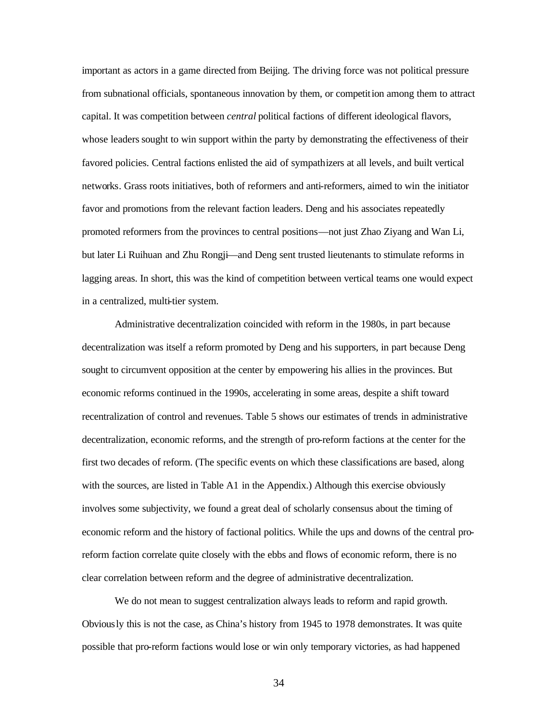important as actors in a game directed from Beijing. The driving force was not political pressure from subnational officials, spontaneous innovation by them, or competition among them to attract capital. It was competition between *central* political factions of different ideological flavors, whose leaders sought to win support within the party by demonstrating the effectiveness of their favored policies. Central factions enlisted the aid of sympathizers at all levels, and built vertical networks. Grass roots initiatives, both of reformers and anti-reformers, aimed to win the initiator favor and promotions from the relevant faction leaders. Deng and his associates repeatedly promoted reformers from the provinces to central positions—not just Zhao Ziyang and Wan Li, but later Li Ruihuan and Zhu Rongji—and Deng sent trusted lieutenants to stimulate reforms in lagging areas. In short, this was the kind of competition between vertical teams one would expect in a centralized, multi-tier system.

Administrative decentralization coincided with reform in the 1980s, in part because decentralization was itself a reform promoted by Deng and his supporters, in part because Deng sought to circumvent opposition at the center by empowering his allies in the provinces. But economic reforms continued in the 1990s, accelerating in some areas, despite a shift toward recentralization of control and revenues. Table 5 shows our estimates of trends in administrative decentralization, economic reforms, and the strength of pro-reform factions at the center for the first two decades of reform. (The specific events on which these classifications are based, along with the sources, are listed in Table A1 in the Appendix.) Although this exercise obviously involves some subjectivity, we found a great deal of scholarly consensus about the timing of economic reform and the history of factional politics. While the ups and downs of the central proreform faction correlate quite closely with the ebbs and flows of economic reform, there is no clear correlation between reform and the degree of administrative decentralization.

We do not mean to suggest centralization always leads to reform and rapid growth. Obviously this is not the case, as China's history from 1945 to 1978 demonstrates. It was quite possible that pro-reform factions would lose or win only temporary victories, as had happened

34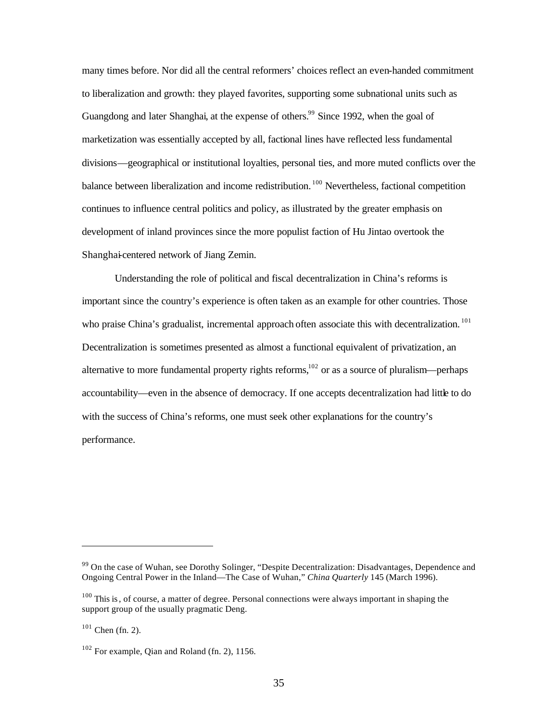many times before. Nor did all the central reformers' choices reflect an even-handed commitment to liberalization and growth: they played favorites, supporting some subnational units such as Guangdong and later Shanghai, at the expense of others.<sup>99</sup> Since 1992, when the goal of marketization was essentially accepted by all, factional lines have reflected less fundamental divisions—geographical or institutional loyalties, personal ties, and more muted conflicts over the balance between liberalization and income redistribution.<sup>100</sup> Nevertheless, factional competition continues to influence central politics and policy, as illustrated by the greater emphasis on development of inland provinces since the more populist faction of Hu Jintao overtook the Shanghai-centered network of Jiang Zemin.

Understanding the role of political and fiscal decentralization in China's reforms is important since the country's experience is often taken as an example for other countries. Those who praise China's gradualist, incremental approach often associate this with decentralization.<sup>101</sup> Decentralization is sometimes presented as almost a functional equivalent of privatization, an alternative to more fundamental property rights reforms, $102$  or as a source of pluralism—perhaps accountability—even in the absence of democracy. If one accepts decentralization had little to do with the success of China's reforms, one must seek other explanations for the country's performance.

<sup>&</sup>lt;sup>99</sup> On the case of Wuhan, see Dorothy Solinger, "Despite Decentralization: Disadvantages, Dependence and Ongoing Central Power in the Inland—The Case of Wuhan," *China Quarterly* 145 (March 1996).

 $100$  This is, of course, a matter of degree. Personal connections were always important in shaping the support group of the usually pragmatic Deng.

 $101$  Chen (fn. 2).

 $102$  For example, Qian and Roland (fn. 2), 1156.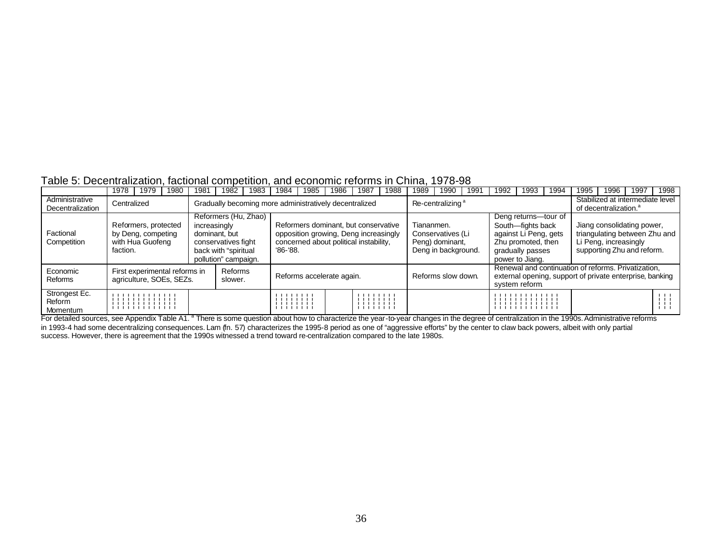#### Table 5: Decentralization, factional competition, and economic reforms in China, 1978-98

|                                     | 1978                                                                                                                                                                                                     | 1979                                                           | 1980 | 1981                                                   | 1982                                                                                 | 1983                                                                                                                                                          | 1984                             | 1985 | 1986                         | 1987 | 1988 | 1989                                                                                                                                                                                                         | 1990               | 199                                                                   | 1992                                                                                                                             | 1993                  | 1994                                                                                      | 1995 | 1996 | 1997 | 1998 |
|-------------------------------------|----------------------------------------------------------------------------------------------------------------------------------------------------------------------------------------------------------|----------------------------------------------------------------|------|--------------------------------------------------------|--------------------------------------------------------------------------------------|---------------------------------------------------------------------------------------------------------------------------------------------------------------|----------------------------------|------|------------------------------|------|------|--------------------------------------------------------------------------------------------------------------------------------------------------------------------------------------------------------------|--------------------|-----------------------------------------------------------------------|----------------------------------------------------------------------------------------------------------------------------------|-----------------------|-------------------------------------------------------------------------------------------|------|------|------|------|
| Administrative<br>Decentralization  | Centralized                                                                                                                                                                                              |                                                                |      | Gradually becoming more administratively decentralized |                                                                                      |                                                                                                                                                               |                                  |      | Re-centralizing <sup>a</sup> |      |      |                                                                                                                                                                                                              |                    | Stabilized at intermediate level<br>of decentralization. <sup>a</sup> |                                                                                                                                  |                       |                                                                                           |      |      |      |      |
| Factional<br>Competition            | faction.                                                                                                                                                                                                 | Reformers, protected<br>by Deng, competing<br>with Hua Guofeng |      | increasingly                                           | dominant, but<br>conservatives fight<br>back with "spiritual<br>pollution" campaign. | Reformers (Hu, Zhao)<br>Reformers dominant, but conservative<br>opposition growing, Deng increasingly<br>concerned about political instability,<br>$96 - 88.$ |                                  |      |                              |      |      | Deng returns-tour of<br>South-fights back<br>Tiananmen.<br>against Li Peng, gets<br>Conservatives (Li<br>Zhu promoted, then<br>Peng) dominant,<br>Deng in background.<br>gradually passes<br>power to Jiang. |                    |                                                                       |                                                                                                                                  | Li Peng, increasingly | Jiang consolidating power,<br>triangulating between Zhu and<br>supporting Zhu and reform. |      |      |      |      |
| Economic<br>Reforms                 |                                                                                                                                                                                                          | First experimental reforms in<br>agriculture, SOEs, SEZs.      |      |                                                        | Reforms<br>slower.                                                                   |                                                                                                                                                               | Reforms accelerate again.        |      |                              |      |      |                                                                                                                                                                                                              | Reforms slow down. |                                                                       | Renewal and continuation of reforms. Privatization.<br>external opening, support of private enterprise, banking<br>system reform |                       |                                                                                           |      |      |      |      |
| Strongest Ec.<br>Reform<br>Momentum |                                                                                                                                                                                                          | .                                                              |      |                                                        |                                                                                      |                                                                                                                                                               | .<br>111111111<br>111111111<br>. |      |                              |      |      |                                                                                                                                                                                                              |                    | .                                                                     |                                                                                                                                  |                       |                                                                                           |      |      |      |      |
|                                     | For detailed sources, see Appendix Table A1. <sup>8</sup> There is some question about how to characterize the year-to-year changes in the degree of centralization in the 1990s. Administrative reforms |                                                                |      |                                                        |                                                                                      |                                                                                                                                                               |                                  |      |                              |      |      |                                                                                                                                                                                                              |                    |                                                                       |                                                                                                                                  |                       |                                                                                           |      |      |      |      |

in 1993-4 had some decentralizing consequences. Lam (fn. 57) characterizes the 1995-8 period as one of "aggressive efforts" by the center to claw back powers, albeit with only partial success. However, there is agreement that the 1990s witnessed a trend toward re-centralization compared to the late 1980s.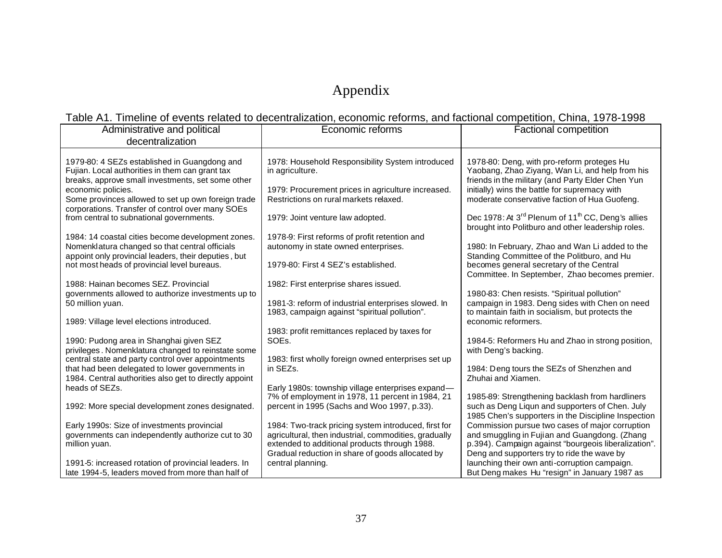# Appendix

## Table A1. Timeline of events related to decentralization, economic reforms, and factional competition, China, 1978-1998

| Administrative and political<br>decentralization                                                                                                                                                                                                                                     | Economic reforms                                                                                                                                                                                                   | <b>Factional competition</b>                                                                                                                                                                                                                         |
|--------------------------------------------------------------------------------------------------------------------------------------------------------------------------------------------------------------------------------------------------------------------------------------|--------------------------------------------------------------------------------------------------------------------------------------------------------------------------------------------------------------------|------------------------------------------------------------------------------------------------------------------------------------------------------------------------------------------------------------------------------------------------------|
| 1979-80: 4 SEZs established in Guangdong and<br>Fujian. Local authorities in them can grant tax<br>breaks, approve small investments, set some other<br>economic policies.<br>Some provinces allowed to set up own foreign trade<br>corporations. Transfer of control over many SOEs | 1978: Household Responsibility System introduced<br>in agriculture.<br>1979: Procurement prices in agriculture increased.<br>Restrictions on rural markets relaxed.                                                | 1978-80: Deng, with pro-reform proteges Hu<br>Yaobang, Zhao Ziyang, Wan Li, and help from his<br>friends in the military (and Party Elder Chen Yun<br>initially) wins the battle for supremacy with<br>moderate conservative faction of Hua Guofeng. |
| from central to subnational governments.                                                                                                                                                                                                                                             | 1979: Joint venture law adopted.                                                                                                                                                                                   | Dec 1978: At 3 <sup>rd</sup> Plenum of 11 <sup>th</sup> CC, Deng's allies<br>brought into Politburo and other leadership roles.                                                                                                                      |
| 1984: 14 coastal cities become development zones.<br>Nomenklatura changed so that central officials<br>appoint only provincial leaders, their deputies, but<br>not most heads of provincial level bureaus.                                                                           | 1978-9: First reforms of profit retention and<br>autonomy in state owned enterprises.<br>1979-80: First 4 SEZ's established.                                                                                       | 1980: In February, Zhao and Wan Li added to the<br>Standing Committee of the Politburo, and Hu<br>becomes general secretary of the Central<br>Committee. In September, Zhao becomes premier.                                                         |
| 1988: Hainan becomes SEZ, Provincial<br>governments allowed to authorize investments up to<br>50 million yuan.                                                                                                                                                                       | 1982: First enterprise shares issued.<br>1981-3: reform of industrial enterprises slowed. In<br>1983, campaign against "spiritual pollution".                                                                      | 1980-83: Chen resists. "Spiritual pollution"<br>campaign in 1983. Deng sides with Chen on need<br>to maintain faith in socialism, but protects the                                                                                                   |
| 1989: Village level elections introduced.<br>1990: Pudong area in Shanghai given SEZ                                                                                                                                                                                                 | 1983: profit remittances replaced by taxes for<br>SOE <sub>s</sub> .                                                                                                                                               | economic reformers.<br>1984-5: Reformers Hu and Zhao in strong position,                                                                                                                                                                             |
| privileges. Nomenklatura changed to reinstate some<br>central state and party control over appointments                                                                                                                                                                              | 1983: first wholly foreign owned enterprises set up                                                                                                                                                                | with Deng's backing.                                                                                                                                                                                                                                 |
| that had been delegated to lower governments in<br>1984. Central authorities also get to directly appoint<br>heads of SEZs.                                                                                                                                                          | in SEZs.<br>Early 1980s: township village enterprises expand-                                                                                                                                                      | 1984: Deng tours the SEZs of Shenzhen and<br>Zhuhai and Xiamen.                                                                                                                                                                                      |
| 1992: More special development zones designated.                                                                                                                                                                                                                                     | 7% of employment in 1978, 11 percent in 1984, 21<br>percent in 1995 (Sachs and Woo 1997, p.33).                                                                                                                    | 1985-89: Strengthening backlash from hardliners<br>such as Deng Liqun and supporters of Chen. July<br>1985 Chen's supporters in the Discipline Inspection                                                                                            |
| Early 1990s: Size of investments provincial<br>governments can independently authorize cut to 30<br>million yuan.                                                                                                                                                                    | 1984: Two-track pricing system introduced, first for<br>agricultural, then industrial, commodities, gradually<br>extended to additional products through 1988.<br>Gradual reduction in share of goods allocated by | Commission pursue two cases of major corruption<br>and smuggling in Fujian and Guangdong. (Zhang<br>p.394). Campaign against "bourgeois liberalization".<br>Deng and supporters try to ride the wave by                                              |
| 1991-5: increased rotation of provincial leaders. In<br>late 1994-5, leaders moved from more than half of                                                                                                                                                                            | central planning.                                                                                                                                                                                                  | launching their own anti-corruption campaign.<br>But Deng makes Hu "resign" in January 1987 as                                                                                                                                                       |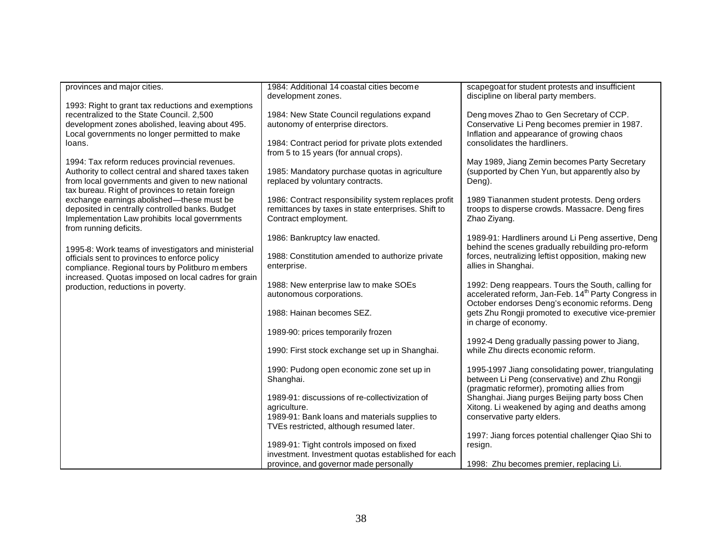| provinces and major cities.                         | 1984: Additional 14 coastal cities become            | scapegoat for student protests and insufficient                                                          |
|-----------------------------------------------------|------------------------------------------------------|----------------------------------------------------------------------------------------------------------|
|                                                     | development zones.                                   | discipline on liberal party members.                                                                     |
| 1993: Right to grant tax reductions and exemptions  |                                                      |                                                                                                          |
| recentralized to the State Council. 2,500           | 1984: New State Council regulations expand           | Deng moves Zhao to Gen Secretary of CCP.                                                                 |
| development zones abolished, leaving about 495.     | autonomy of enterprise directors.                    | Conservative Li Peng becomes premier in 1987.                                                            |
| Local governments no longer permitted to make       |                                                      | Inflation and appearance of growing chaos                                                                |
| loans.                                              | 1984: Contract period for private plots extended     | consolidates the hardliners.                                                                             |
|                                                     | from 5 to 15 years (for annual crops).               |                                                                                                          |
| 1994: Tax reform reduces provincial revenues.       |                                                      | May 1989, Jiang Zemin becomes Party Secretary                                                            |
| Authority to collect central and shared taxes taken | 1985: Mandatory purchase quotas in agriculture       | (supported by Chen Yun, but apparently also by                                                           |
| from local governments and given to new national    | replaced by voluntary contracts.                     | Deng).                                                                                                   |
| tax bureau. Right of provinces to retain foreign    |                                                      |                                                                                                          |
| exchange earnings abolished-these must be           | 1986: Contract responsibility system replaces profit | 1989 Tiananmen student protests. Deng orders                                                             |
| deposited in centrally controlled banks. Budget     | remittances by taxes in state enterprises. Shift to  | troops to disperse crowds. Massacre. Deng fires                                                          |
| Implementation Law prohibits local governments      | Contract employment.                                 | Zhao Ziyang.                                                                                             |
| from running deficits.                              |                                                      |                                                                                                          |
|                                                     | 1986: Bankruptcy law enacted.                        | 1989-91: Hardliners around Li Peng assertive, Deng                                                       |
| 1995-8: Work teams of investigators and ministerial | 1988: Constitution amended to authorize private      | behind the scenes gradually rebuilding pro-reform<br>forces, neutralizing leftist opposition, making new |
| officials sent to provinces to enforce policy       | enterprise.                                          | allies in Shanghai.                                                                                      |
| compliance. Regional tours by Politburo m embers    |                                                      |                                                                                                          |
| increased. Quotas imposed on local cadres for grain | 1988: New enterprise law to make SOEs                | 1992: Deng reappears. Tours the South, calling for                                                       |
| production, reductions in poverty.                  | autonomous corporations.                             | accelerated reform, Jan-Feb. 14 <sup>th</sup> Party Congress in                                          |
|                                                     |                                                      | October endorses Deng's economic reforms. Deng                                                           |
|                                                     | 1988: Hainan becomes SEZ.                            | gets Zhu Rongji promoted to executive vice-premier                                                       |
|                                                     |                                                      | in charge of economy.                                                                                    |
|                                                     | 1989-90: prices temporarily frozen                   |                                                                                                          |
|                                                     |                                                      | 1992-4 Deng gradually passing power to Jiang,                                                            |
|                                                     | 1990: First stock exchange set up in Shanghai.       | while Zhu directs economic reform.                                                                       |
|                                                     |                                                      |                                                                                                          |
|                                                     | 1990: Pudong open economic zone set up in            | 1995-1997 Jiang consolidating power, triangulating                                                       |
|                                                     | Shanghai.                                            | between Li Peng (conservative) and Zhu Rongji<br>(pragmatic reformer), promoting allies from             |
|                                                     | 1989-91: discussions of re-collectivization of       | Shanghai. Jiang purges Beijing party boss Chen                                                           |
|                                                     | agriculture.                                         | Xitong. Li weakened by aging and deaths among                                                            |
|                                                     | 1989-91: Bank loans and materials supplies to        | conservative party elders.                                                                               |
|                                                     | TVEs restricted, although resumed later.             |                                                                                                          |
|                                                     |                                                      | 1997: Jiang forces potential challenger Qiao Shi to                                                      |
|                                                     | 1989-91: Tight controls imposed on fixed             | resign.                                                                                                  |
|                                                     | investment. Investment quotas established for each   |                                                                                                          |
|                                                     | province, and governor made personally               | 1998: Zhu becomes premier, replacing Li.                                                                 |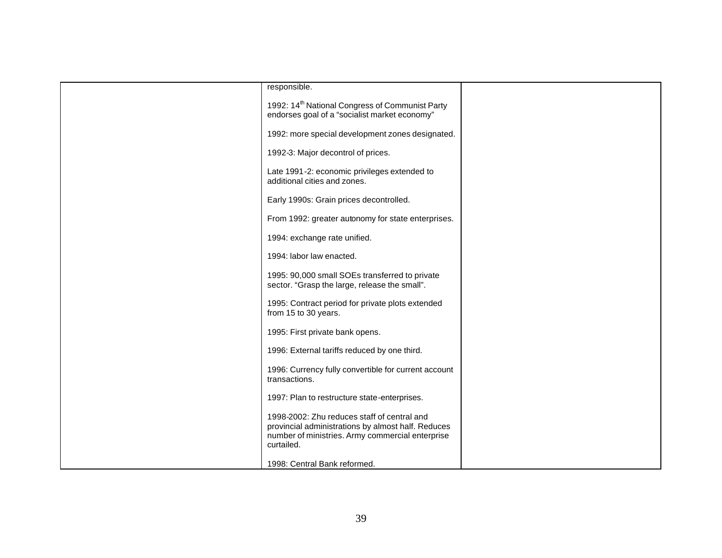| responsible.                                                                                                                                                        |  |
|---------------------------------------------------------------------------------------------------------------------------------------------------------------------|--|
| 1992: 14 <sup>th</sup> National Congress of Communist Party<br>endorses goal of a "socialist market economy"                                                        |  |
| 1992: more special development zones designated.                                                                                                                    |  |
| 1992-3: Major decontrol of prices.                                                                                                                                  |  |
| Late 1991-2: economic privileges extended to<br>additional cities and zones.                                                                                        |  |
| Early 1990s: Grain prices decontrolled.                                                                                                                             |  |
| From 1992: greater autonomy for state enterprises.                                                                                                                  |  |
| 1994: exchange rate unified.                                                                                                                                        |  |
| 1994: labor law enacted.                                                                                                                                            |  |
| 1995: 90,000 small SOEs transferred to private<br>sector. "Grasp the large, release the small".                                                                     |  |
| 1995: Contract period for private plots extended<br>from 15 to 30 years.                                                                                            |  |
| 1995: First private bank opens.                                                                                                                                     |  |
| 1996: External tariffs reduced by one third.                                                                                                                        |  |
| 1996: Currency fully convertible for current account<br>transactions.                                                                                               |  |
| 1997: Plan to restructure state-enterprises.                                                                                                                        |  |
| 1998-2002: Zhu reduces staff of central and<br>provincial administrations by almost half. Reduces<br>number of ministries. Army commercial enterprise<br>curtailed. |  |
| 1998: Central Bank reformed.                                                                                                                                        |  |